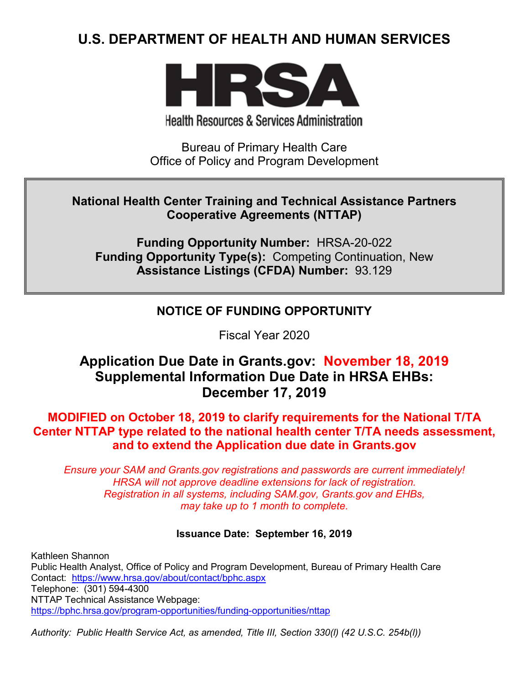# **U.S. DEPARTMENT OF HEALTH AND HUMAN SERVICES**



**Health Resources & Services Administration** 

Bureau of Primary Health Care Office of Policy and Program Development

## **National Health Center Training and Technical Assistance Partners Cooperative Agreements (NTTAP)**

**Funding Opportunity Number:** HRSA-20-022 **Funding Opportunity Type(s):** Competing Continuation, New **Assistance Listings (CFDA) Number:** 93.129

# **NOTICE OF FUNDING OPPORTUNITY**

Fiscal Year 2020

# **Application Due Date in Grants.gov: November 18, 2019 Supplemental Information Due Date in HRSA EHBs: December 17, 2019**

**MODIFIED on October 18, 2019 to clarify requirements for the National T/TA Center NTTAP type related to the national health center T/TA needs assessment, and to extend the Application due date in Grants.gov**

*Ensure your SAM and Grants.gov registrations and passwords are current immediately! HRSA will not approve deadline extensions for lack of registration. Registration in all systems, including SAM.gov, Grants.gov and EHBs, may take up to 1 month to complete.*

### **Issuance Date: September 16, 2019**

Kathleen Shannon Public Health Analyst, Office of Policy and Program Development, Bureau of Primary Health Care Contact: <https://www.hrsa.gov/about/contact/bphc.aspx> Telephone: (301) 594-4300 NTTAP Technical Assistance Webpage: <https://bphc.hrsa.gov/program-opportunities/funding-opportunities/nttap>

*Authority: Public Health Service Act, as amended, Title III, Section 330(l) (42 U.S.C. 254b(l))*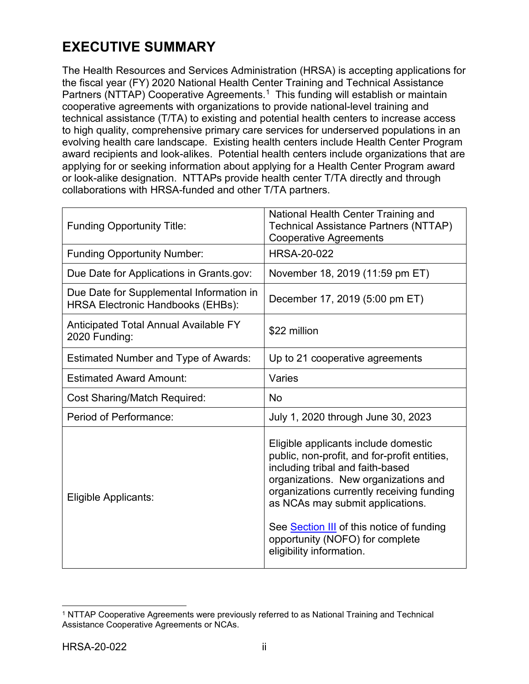# **EXECUTIVE SUMMARY**

The Health Resources and Services Administration (HRSA) is accepting applications for the fiscal year (FY) 2020 National Health Center Training and Technical Assistance Partners (NTTAP) Cooperative Agreements. [1](#page-1-0) This funding will establish or maintain cooperative agreements with organizations to provide national-level training and technical assistance (T/TA) to existing and potential health centers to increase access to high quality, comprehensive primary care services for underserved populations in an evolving health care landscape. Existing health centers include Health Center Program award recipients and look-alikes. Potential health centers include organizations that are applying for or seeking information about applying for a Health Center Program award or look-alike designation. NTTAPs provide health center T/TA directly and through collaborations with HRSA-funded and other T/TA partners.

| <b>Funding Opportunity Title:</b>                                                    | National Health Center Training and<br><b>Technical Assistance Partners (NTTAP)</b><br><b>Cooperative Agreements</b>                                                                                                                                                                                                                                          |
|--------------------------------------------------------------------------------------|---------------------------------------------------------------------------------------------------------------------------------------------------------------------------------------------------------------------------------------------------------------------------------------------------------------------------------------------------------------|
| <b>Funding Opportunity Number:</b>                                                   | <b>HRSA-20-022</b>                                                                                                                                                                                                                                                                                                                                            |
| Due Date for Applications in Grants.gov:                                             | November 18, 2019 (11:59 pm ET)                                                                                                                                                                                                                                                                                                                               |
| Due Date for Supplemental Information in<br><b>HRSA Electronic Handbooks (EHBs):</b> | December 17, 2019 (5:00 pm ET)                                                                                                                                                                                                                                                                                                                                |
| <b>Anticipated Total Annual Available FY</b><br>2020 Funding:                        | \$22 million                                                                                                                                                                                                                                                                                                                                                  |
| <b>Estimated Number and Type of Awards:</b>                                          | Up to 21 cooperative agreements                                                                                                                                                                                                                                                                                                                               |
| <b>Estimated Award Amount:</b>                                                       | Varies                                                                                                                                                                                                                                                                                                                                                        |
| <b>Cost Sharing/Match Required:</b>                                                  | <b>No</b>                                                                                                                                                                                                                                                                                                                                                     |
| Period of Performance:                                                               | July 1, 2020 through June 30, 2023                                                                                                                                                                                                                                                                                                                            |
| Eligible Applicants:                                                                 | Eligible applicants include domestic<br>public, non-profit, and for-profit entities,<br>including tribal and faith-based<br>organizations. New organizations and<br>organizations currently receiving funding<br>as NCAs may submit applications.<br>See Section III of this notice of funding<br>opportunity (NOFO) for complete<br>eligibility information. |

<span id="page-1-0"></span> $\overline{a}$ <sup>1</sup> NTTAP Cooperative Agreements were previously referred to as National Training and Technical Assistance Cooperative Agreements or NCAs.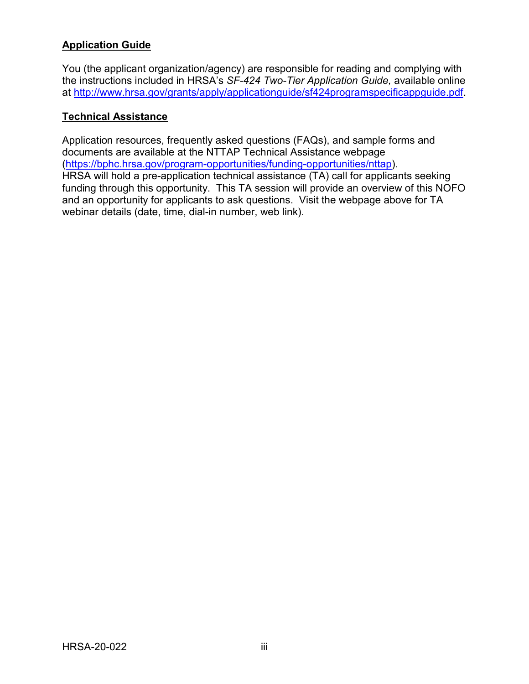## **Application Guide**

You (the applicant organization/agency) are responsible for reading and complying with the instructions included in HRSA's *SF-424 Two-Tier Application Guide,* available online at [http://www.hrsa.gov/grants/apply/applicationguide/sf424programspecificappguide.pdf.](http://www.hrsa.gov/grants/apply/applicationguide/sf424programspecificappguide.pdf)

#### **Technical Assistance**

Application resources, frequently asked questions (FAQs), and sample forms and documents are available at the NTTAP Technical Assistance webpage [\(https://bphc.hrsa.gov/program-opportunities/funding-opportunities/nttap\)](https://bphc.hrsa.gov/program-opportunities/funding-opportunities/nttap). HRSA will hold a pre-application technical assistance (TA) call for applicants seeking funding through this opportunity. This TA session will provide an overview of this NOFO and an opportunity for applicants to ask questions. Visit the webpage above for TA webinar details (date, time, dial-in number, web link).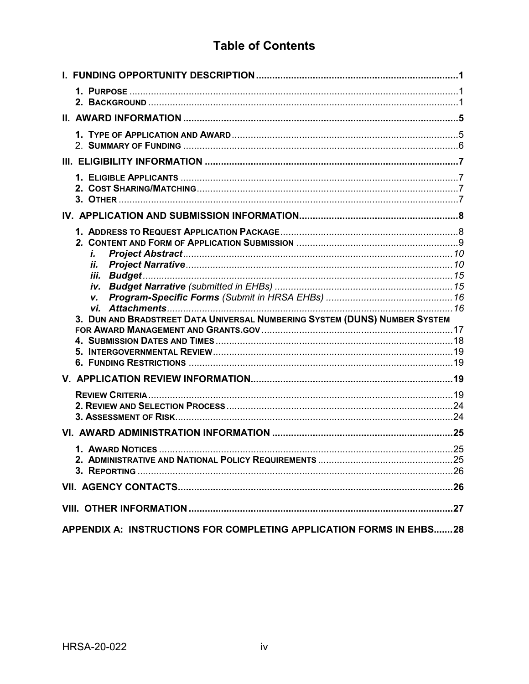# **Table of Contents**

| i.<br>Н.<br>iii.<br>V.<br>3. DUN AND BRADSTREET DATA UNIVERSAL NUMBERING SYSTEM (DUNS) NUMBER SYSTEM |  |
|------------------------------------------------------------------------------------------------------|--|
|                                                                                                      |  |
|                                                                                                      |  |
|                                                                                                      |  |
|                                                                                                      |  |
|                                                                                                      |  |
|                                                                                                      |  |
| APPENDIX A: INSTRUCTIONS FOR COMPLETING APPLICATION FORMS IN EHBS28                                  |  |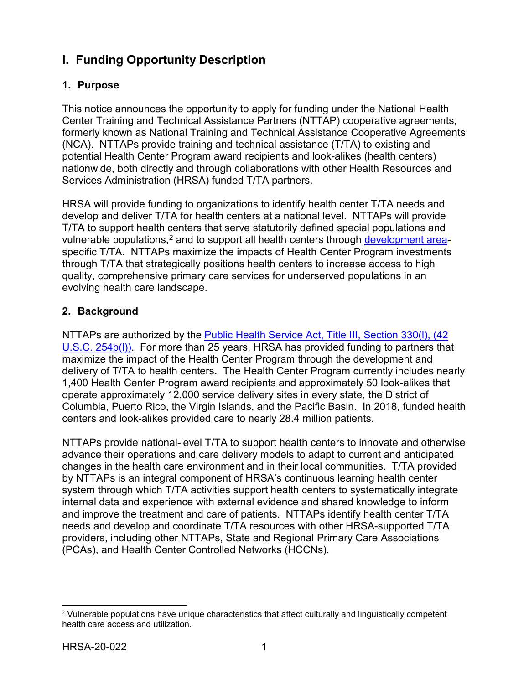# <span id="page-4-0"></span>**I. Funding Opportunity Description**

### <span id="page-4-1"></span>**1. Purpose**

This notice announces the opportunity to apply for funding under the National Health Center Training and Technical Assistance Partners (NTTAP) cooperative agreements, formerly known as National Training and Technical Assistance Cooperative Agreements (NCA). NTTAPs provide training and technical assistance (T/TA) to existing and potential Health Center Program award recipients and look-alikes (health centers) nationwide, both directly and through collaborations with other Health Resources and Services Administration (HRSA) funded T/TA partners.

HRSA will provide funding to organizations to identify health center T/TA needs and develop and deliver T/TA for health centers at a national level. NTTAPs will provide T/TA to support health centers that serve statutorily defined special populations and vulnerable populations,<sup>[2](#page-4-3)</sup> and to support all health centers through <u>development area</u>specific T/TA. NTTAPs maximize the impacts of Health Center Program investments through T/TA that strategically positions health centers to increase access to high quality, comprehensive primary care services for underserved populations in an evolving health care landscape.

## <span id="page-4-2"></span>**2. Background**

NTTAPs are authorized by the [Public Health Service Act, Title III, Section 330\(l\), \(42](http://uscode.house.gov/view.xhtml?req=granuleid:USC-prelim-title42-section254b&num=0&edition=prelim)  [U.S.C. 254b\(l\)\).](http://uscode.house.gov/view.xhtml?req=granuleid:USC-prelim-title42-section254b&num=0&edition=prelim) For more than 25 years, HRSA has provided funding to partners that maximize the impact of the Health Center Program through the development and delivery of T/TA to health centers. The Health Center Program currently includes nearly 1,400 Health Center Program award recipients and approximately 50 look-alikes that operate approximately 12,000 service delivery sites in every state, the District of Columbia, Puerto Rico, the Virgin Islands, and the Pacific Basin. In 2018, funded health centers and look-alikes provided care to nearly 28.4 million patients.

NTTAPs provide national-level T/TA to support health centers to innovate and otherwise advance their operations and care delivery models to adapt to current and anticipated changes in the health care environment and in their local communities. T/TA provided by NTTAPs is an integral component of HRSA's continuous learning health center system through which T/TA activities support health centers to systematically integrate internal data and experience with external evidence and shared knowledge to inform and improve the treatment and care of patients. NTTAPs identify health center T/TA needs and develop and coordinate T/TA resources with other HRSA-supported T/TA providers, including other NTTAPs, State and Regional Primary Care Associations (PCAs), and Health Center Controlled Networks (HCCNs).

<span id="page-4-3"></span> $2$  Vulnerable populations have unique characteristics that affect culturally and linguistically competent health care access and utilization.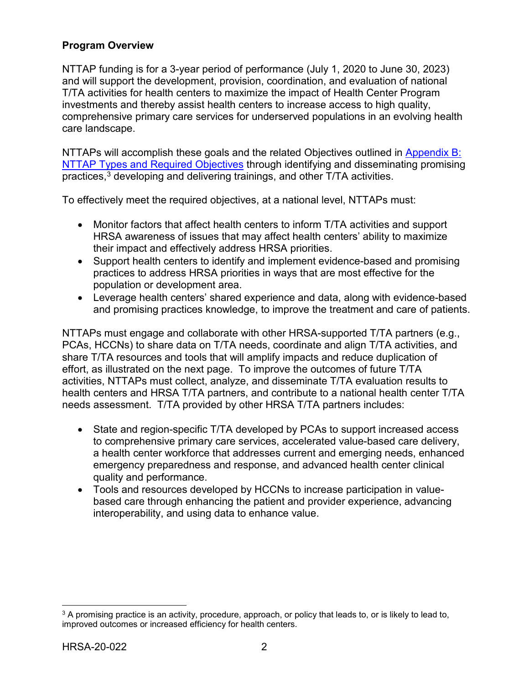## **Program Overview**

NTTAP funding is for a 3-year period of performance (July 1, 2020 to June 30, 2023) and will support the development, provision, coordination, and evaluation of national T/TA activities for health centers to maximize the impact of Health Center Program investments and thereby assist health centers to increase access to high quality, comprehensive primary care services for underserved populations in an evolving health care landscape.

NTTAPs will accomplish these goals and the related Objectives outlined in Appendix B: [NTTAP Types and Required Objectives](#page-33-0) through identifying and disseminating promising practices, $^3$  $^3$  developing and delivering trainings, and other T/TA activities.

To effectively meet the required objectives, at a national level, NTTAPs must:

- Monitor factors that affect health centers to inform T/TA activities and support HRSA awareness of issues that may affect health centers' ability to maximize their impact and effectively address HRSA priorities.
- Support health centers to identify and implement evidence-based and promising practices to address HRSA priorities in ways that are most effective for the population or development area.
- Leverage health centers' shared experience and data, along with evidence-based and promising practices knowledge, to improve the treatment and care of patients.

NTTAPs must engage and collaborate with other HRSA-supported T/TA partners (e.g., PCAs, HCCNs) to share data on T/TA needs, coordinate and align T/TA activities, and share T/TA resources and tools that will amplify impacts and reduce duplication of effort, as illustrated on the next page. To improve the outcomes of future T/TA activities, NTTAPs must collect, analyze, and disseminate T/TA evaluation results to health centers and HRSA T/TA partners, and contribute to a national health center T/TA needs assessment. T/TA provided by other HRSA T/TA partners includes:

- State and region-specific T/TA developed by PCAs to support increased access to comprehensive primary care services, accelerated value-based care delivery, a health center workforce that addresses current and emerging needs, enhanced emergency preparedness and response, and advanced health center clinical quality and performance.
- Tools and resources developed by HCCNs to increase participation in valuebased care through enhancing the patient and provider experience, advancing interoperability, and using data to enhance value.

<span id="page-5-0"></span> $\overline{a}$ <sup>3</sup> A promising practice is an activity, procedure, approach, or policy that leads to, or is likely to lead to, improved outcomes or increased efficiency for health centers.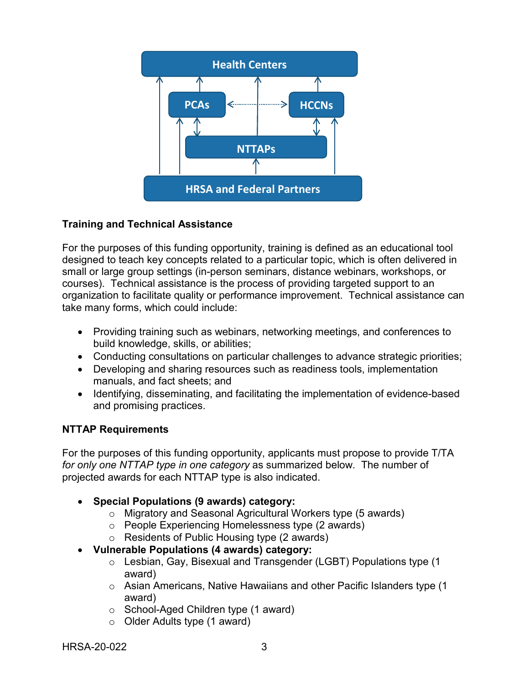

## **Training and Technical Assistance**

For the purposes of this funding opportunity, training is defined as an educational tool designed to teach key concepts related to a particular topic, which is often delivered in small or large group settings (in-person seminars, distance webinars, workshops, or courses). Technical assistance is the process of providing targeted support to an organization to facilitate quality or performance improvement. Technical assistance can take many forms, which could include:

- Providing training such as webinars, networking meetings, and conferences to build knowledge, skills, or abilities;
- Conducting consultations on particular challenges to advance strategic priorities;
- Developing and sharing resources such as readiness tools, implementation manuals, and fact sheets; and
- Identifying, disseminating, and facilitating the implementation of evidence-based and promising practices.

### <span id="page-6-0"></span>**NTTAP Requirements**

For the purposes of this funding opportunity, applicants must propose to provide T/TA *for only one NTTAP type in one category* as summarized below. The number of projected awards for each NTTAP type is also indicated.

- **Special Populations (9 awards) category:**
	- o Migratory and Seasonal Agricultural Workers type (5 awards)
	- o People Experiencing Homelessness type (2 awards)
	- o Residents of Public Housing type (2 awards)
- **Vulnerable Populations (4 awards) category:**
	- o Lesbian, Gay, Bisexual and Transgender (LGBT) Populations type (1 award)
	- $\circ$  Asian Americans, Native Hawaiians and other Pacific Islanders type (1) award)
	- o School-Aged Children type (1 award)
	- o Older Adults type (1 award)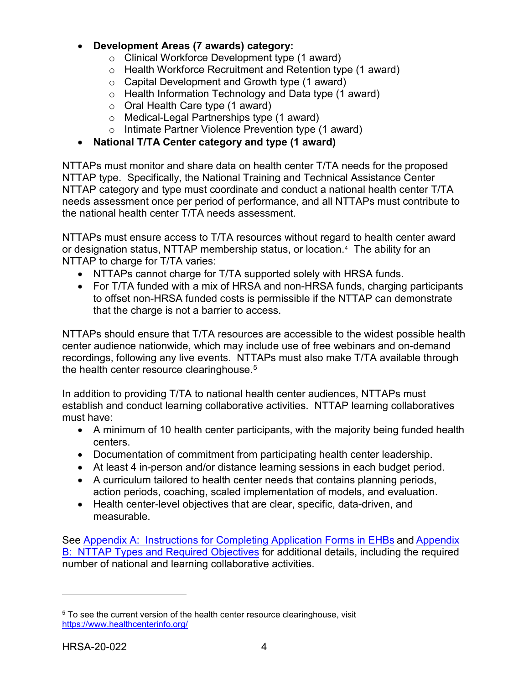#### <span id="page-7-0"></span>• **Development Areas (7 awards) category:**

- o Clinical Workforce Development type (1 award)
- o Health Workforce Recruitment and Retention type (1 award)
- $\circ$  Capital Development and Growth type (1 award)
- o Health Information Technology and Data type (1 award)
- o Oral Health Care type (1 award)
- o Medical-Legal Partnerships type (1 award)
- o Intimate Partner Violence Prevention type (1 award)

### • **National T/TA Center category and type (1 award)**

NTTAPs must monitor and share data on health center T/TA needs for the proposed NTTAP type. Specifically, the National Training and Technical Assistance Center NTTAP category and type must coordinate and conduct a national health center T/TA needs assessment once per period of performance, and all NTTAPs must contribute to the national health center T/TA needs assessment.

NTTAPs must ensure access to T/TA resources without regard to health center award or designation status, NTTAP membership status, or location.[4](#page-7-1) The ability for an NTTAP to charge for T/TA varies:

- NTTAPs cannot charge for T/TA supported solely with HRSA funds.
- For T/TA funded with a mix of HRSA and non-HRSA funds, charging participants to offset non-HRSA funded costs is permissible if the NTTAP can demonstrate that the charge is not a barrier to access.

NTTAPs should ensure that T/TA resources are accessible to the widest possible health center audience nationwide, which may include use of free webinars and on-demand recordings, following any live events. NTTAPs must also make T/TA available through the health center resource clearinghouse. $^5$  $^5$ 

In addition to providing T/TA to national health center audiences, NTTAPs must establish and conduct learning collaborative activities. NTTAP learning collaboratives must have:

- A minimum of 10 health center participants, with the majority being funded health centers.
- Documentation of commitment from participating health center leadership.
- At least 4 in-person and/or distance learning sessions in each budget period.
- A curriculum tailored to health center needs that contains planning periods, action periods, coaching, scaled implementation of models, and evaluation.
- Health center-level objectives that are clear, specific, data-driven, and measurable.

See Appendix [A: Instructions](#page-31-0) for Completing Application Forms in EHBs and [Appendix](#page-33-0) [B: NTTAP](#page-33-0) Types and Required Objectives for additional details, including the required number of national and learning collaborative activities.

 $\overline{a}$ 

<span id="page-7-2"></span><span id="page-7-1"></span><sup>&</sup>lt;sup>5</sup> To see the current version of the health center resource clearinghouse, visit <https://www.healthcenterinfo.org/>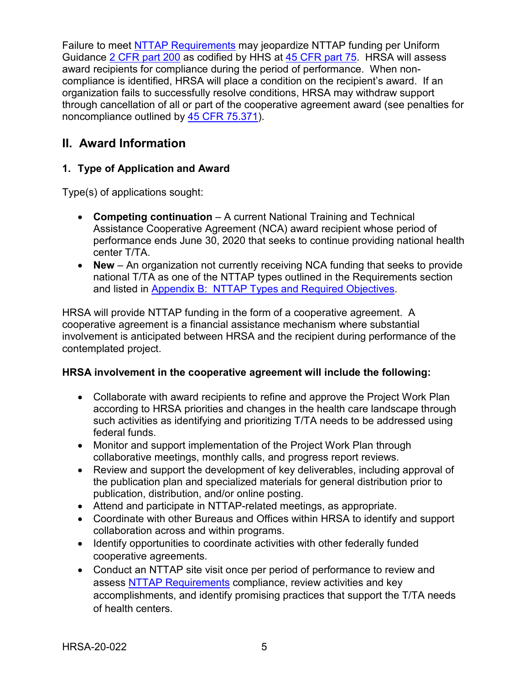Failure to meet NTTAP [Requirements](#page-6-0) may jeopardize NTTAP funding per Uniform Guidance [2 CFR part 200](http://www.ecfr.gov/cgi-bin/text-idx?tpl=/ecfrbrowse/Title02/2cfr200_main_02.tpl) as codified by HHS at [45 CFR part 75.](http://www.ecfr.gov/cgi-bin/retrieveECFR?gp=1&SID=4d52364ec83fab994c665943dadf9cf7&ty=HTML&h=L&r=PART&n=pt45.1.75) HRSA will assess award recipients for compliance during the period of performance. When noncompliance is identified, HRSA will place a condition on the recipient's award. If an organization fails to successfully resolve conditions, HRSA may withdraw support through cancellation of all or part of the cooperative agreement award (see penalties for noncompliance outlined by [45 CFR 75.371\)](http://www.ecfr.gov/cgi-bin/text-idx?node=pt45.1.75&rgn=div5#se45.1.75_1371).

## <span id="page-8-0"></span>**II. Award Information**

### <span id="page-8-1"></span>**1. Type of Application and Award**

Type(s) of applications sought:

- **Competing continuation** A current National Training and Technical Assistance Cooperative Agreement (NCA) award recipient whose period of performance ends June 30, 2020 that seeks to continue providing national health center T/TA.
- **New** An organization not currently receiving NCA funding that seeks to provide national T/TA as one of the NTTAP types outlined in the Requirements section and listed in [Appendix B: NTTAP Types and Required Objec](#page-33-0)tives.

HRSA will provide NTTAP funding in the form of a cooperative agreement. A cooperative agreement is a financial assistance mechanism where substantial involvement is anticipated between HRSA and the recipient during performance of the contemplated project.

### **HRSA involvement in the cooperative agreement will include the following:**

- Collaborate with award recipients to refine and approve the Project Work Plan according to HRSA priorities and changes in the health care landscape through such activities as identifying and prioritizing T/TA needs to be addressed using federal funds.
- Monitor and support implementation of the Project Work Plan through collaborative meetings, monthly calls, and progress report reviews.
- Review and support the development of key deliverables, including approval of the publication plan and specialized materials for general distribution prior to publication, distribution, and/or online posting.
- Attend and participate in NTTAP-related meetings, as appropriate.
- Coordinate with other Bureaus and Offices within HRSA to identify and support collaboration across and within programs.
- Identify opportunities to coordinate activities with other federally funded cooperative agreements.
- Conduct an NTTAP site visit once per period of performance to review and assess NTTAP [Requirements](#page-6-0) compliance, review activities and key accomplishments, and identify promising practices that support the T/TA needs of health centers.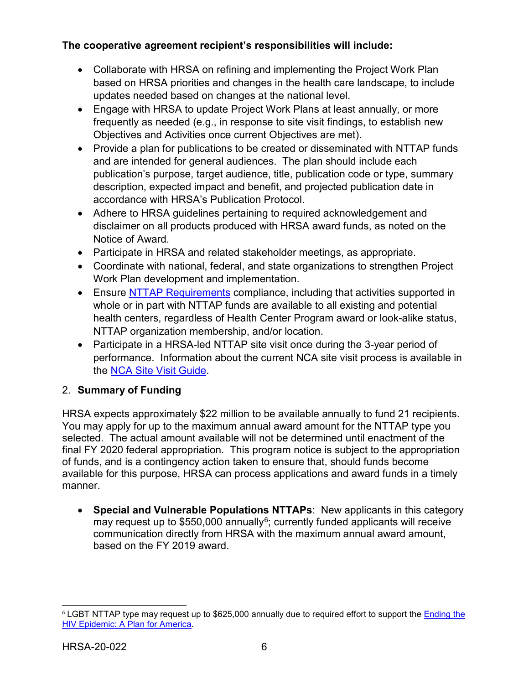## **The cooperative agreement recipient's responsibilities will include:**

- Collaborate with HRSA on refining and implementing the Project Work Plan based on HRSA priorities and changes in the health care landscape, to include updates needed based on changes at the national level.
- Engage with HRSA to update Project Work Plans at least annually, or more frequently as needed (e.g., in response to site visit findings, to establish new Objectives and Activities once current Objectives are met).
- Provide a plan for publications to be created or disseminated with NTTAP funds and are intended for general audiences. The plan should include each publication's purpose, target audience, title, publication code or type, summary description, expected impact and benefit, and projected publication date in accordance with HRSA's Publication Protocol.
- Adhere to HRSA guidelines pertaining to required acknowledgement and disclaimer on all products produced with HRSA award funds, as noted on the Notice of Award.
- Participate in HRSA and related stakeholder meetings, as appropriate.
- Coordinate with national, federal, and state organizations to strengthen Project Work Plan development and implementation.
- Ensure NTTAP [Requirements](#page-6-0) compliance, including that activities supported in whole or in part with NTTAP funds are available to all existing and potential health centers, regardless of Health Center Program award or look-alike status, NTTAP organization membership, and/or location.
- Participate in a HRSA-led NTTAP site visit once during the 3-year period of performance. Information about the current NCA site visit process is available in the [NCA Site Visit Guide.](https://bphc.hrsa.gov/sites/default/files/bphc/datareporting/pdf/2019-nca-site-visit-guide.pdf)

## <span id="page-9-0"></span>2. **Summary of Funding**

HRSA expects approximately \$22 million to be available annually to fund 21 recipients. You may apply for up to the maximum annual award amount for the NTTAP type you selected. The actual amount available will not be determined until enactment of the final FY 2020 federal appropriation. This program notice is subject to the appropriation of funds, and is a contingency action taken to ensure that, should funds become available for this purpose, HRSA can process applications and award funds in a timely manner.

• **Special and Vulnerable Populations NTTAPs**: New applicants in this category may request up to  $$550,000$  annually<sup>[6](#page-9-1)</sup>; currently funded applicants will receive communication directly from HRSA with the maximum annual award amount, based on the FY 2019 award.

<span id="page-9-1"></span> <sup>6</sup> LGBT NTTAP type may request up to \$625,000 annually due to required effort to support the [Ending the](https://www.hrsa.gov/ending-hiv-epidemic)  [HIV Epidemic: A Plan for America.](https://www.hrsa.gov/ending-hiv-epidemic)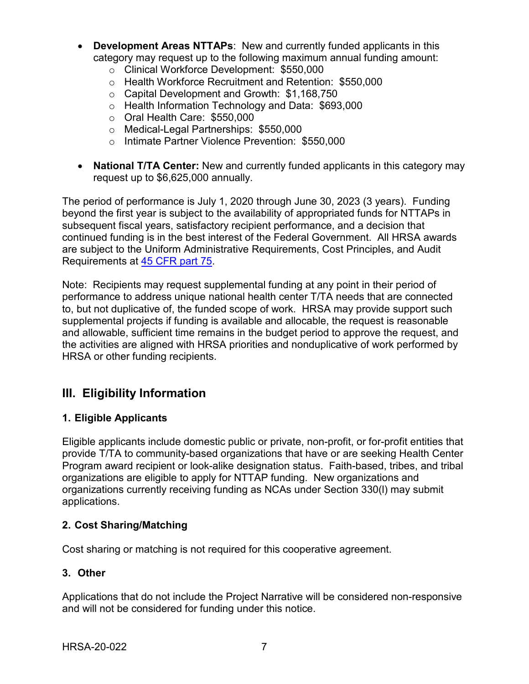- **Development Areas NTTAPs**: New and currently funded applicants in this category may request up to the following maximum annual funding amount:
	- o Clinical Workforce Development: \$550,000
	- o Health Workforce Recruitment and Retention: \$550,000
	- o Capital Development and Growth: \$1,168,750
	- o Health Information Technology and Data: \$693,000
	- o Oral Health Care: \$550,000
	- o Medical-Legal Partnerships: \$550,000
	- o Intimate Partner Violence Prevention: \$550,000
- **National T/TA Center:** New and currently funded applicants in this category may request up to \$6,625,000 annually.

The period of performance is July 1, 2020 through June 30, 2023 (3 years). Funding beyond the first year is subject to the availability of appropriated funds for NTTAPs in subsequent fiscal years, satisfactory recipient performance, and a decision that continued funding is in the best interest of the Federal Government. All HRSA awards are subject to the Uniform Administrative Requirements, Cost Principles, and Audit Requirements at [45 CFR part](http://www.ecfr.gov/cgi-bin/retrieveECFR?gp=1&SID=4d52364ec83fab994c665943dadf9cf7&ty=HTML&h=L&r=PART&n=pt45.1.75) 75.

Note: Recipients may request supplemental funding at any point in their period of performance to address unique national health center T/TA needs that are connected to, but not duplicative of, the funded scope of work. HRSA may provide support such supplemental projects if funding is available and allocable, the request is reasonable and allowable, sufficient time remains in the budget period to approve the request, and the activities are aligned with HRSA priorities and nonduplicative of work performed by HRSA or other funding recipients.

# <span id="page-10-0"></span>**III. Eligibility Information**

### <span id="page-10-1"></span>**1. Eligible Applicants**

Eligible applicants include domestic public or private, non-profit, or for-profit entities that provide T/TA to community-based organizations that have or are seeking Health Center Program award recipient or look-alike designation status. Faith-based, tribes, and tribal organizations are eligible to apply for NTTAP funding. New organizations and organizations currently receiving funding as NCAs under Section 330(l) may submit applications.

### <span id="page-10-2"></span>**2. Cost Sharing/Matching**

Cost sharing or matching is not required for this cooperative agreement.

#### <span id="page-10-3"></span>**3. Other**

Applications that do not include the Project Narrative will be considered non-responsive and will not be considered for funding under this notice.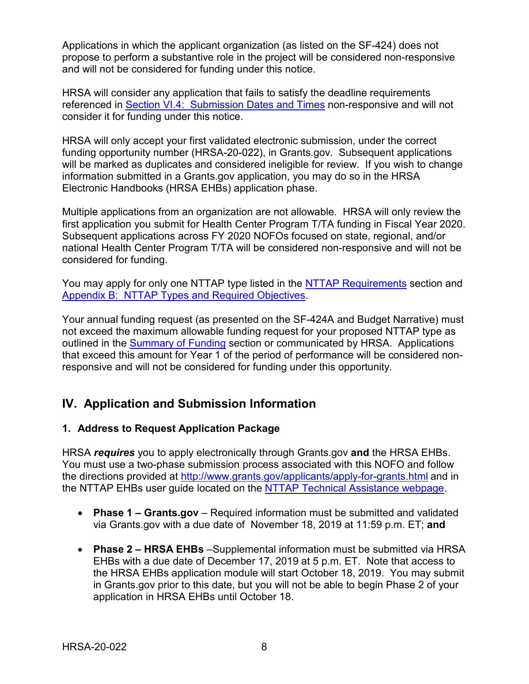Applications in which the applicant organization (as listed on the SF-424) does not propose to perform a substantive role in the project will be considered non-responsive and will not be considered for funding under this notice.

HRSA will consider any application that fails to satisfy the deadline requirements referenced in Section [VI.4: Submission](#page-21-0) Dates and Times non-responsive and will not consider it for funding under this notice.

HRSA will only accept your first validated electronic submission, under the correct funding opportunity number (HRSA-20-022), in Grants.gov. Subsequent applications will be marked as duplicates and considered ineligible for review. If you wish to change information submitted in a Grants.gov application, you may do so in the HRSA Electronic Handbooks (HRSA EHBs) application phase.

Multiple applications from an organization are not allowable. HRSA will only review the first application you submit for Health Center Program T/TA funding in Fiscal Year 2020. Subsequent applications across FY 2020 NOFOs focused on state, regional, and/or national Health Center Program T/TA will be considered non-responsive and will not be considered for funding.

You may apply for only one NTTAP type listed in the NTTAP [Requirements](#page-6-0) section and Appendix [B: NTTAP](#page-33-0) Types and Required Objectives.

Your annual funding request (as presented on the SF-424A and Budget Narrative) must not exceed the maximum allowable funding request for your proposed NTTAP type as outlined in the [Summary](#page-9-0) of Funding section or communicated by HRSA. Applications that exceed this amount for Year 1 of the period of performance will be considered nonresponsive and will not be considered for funding under this opportunity.

# <span id="page-11-0"></span>**IV. Application and Submission Information**

## <span id="page-11-1"></span>**1. Address to Request Application Package**

HRSA *requires* you to apply electronically through Grants.gov **and** the HRSA EHBs. You must use a two-phase submission process associated with this NOFO and follow the directions provided at<http://www.grants.gov/applicants/apply-for-grants.html> and in the NTTAP EHBs user guide located on the [NTTAP Technical Assistance webpage.](https://bphc.hrsa.gov/program-opportunities/funding-opportunities/nttap)

- **Phase 1 – Grants.gov**  Required information must be submitted and validated via Grants.gov with a due date of November 18, 2019 at 11:59 p.m. ET; **and**
- **Phase 2 – HRSA EHBs** –Supplemental information must be submitted via HRSA EHBs with a due date of December 17, 2019 at 5 p.m. ET. Note that access to the HRSA EHBs application module will start October 18, 2019. You may submit in Grants.gov prior to this date, but you will not be able to begin Phase 2 of your application in HRSA EHBs until October 18.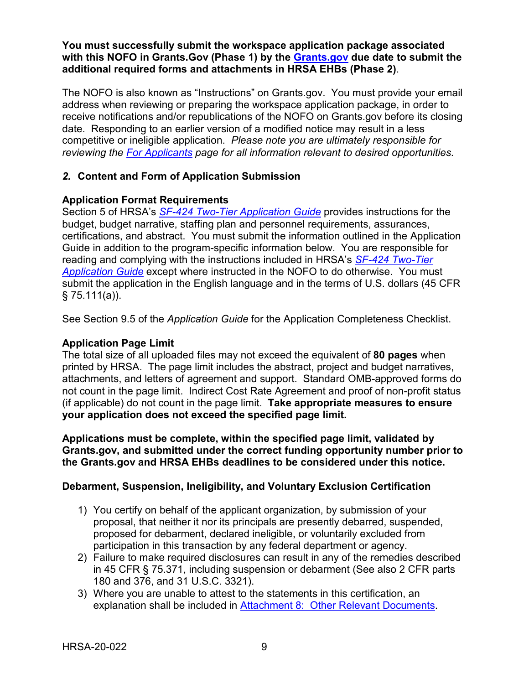#### **You must successfully submit the workspace application package associated with this NOFO in Grants.Gov (Phase 1) by the [Grants.gov](https://www.grants.gov/) due date to submit the additional required forms and attachments in HRSA EHBs (Phase 2)**.

The NOFO is also known as "Instructions" on Grants.gov. You must provide your email address when reviewing or preparing the workspace application package, in order to receive notifications and/or republications of the NOFO on Grants.gov before its closing date. Responding to an earlier version of a modified notice may result in a less competitive or ineligible application. *Please note you are ultimately responsible for reviewing the [For Applicants](https://www.grants.gov/web/grants/applicants.html) page for all information relevant to desired opportunities.*

### <span id="page-12-0"></span>*2.* **Content and Form of Application Submission**

#### **Application Format Requirements**

Section 5 of HRSA's *SF-424 [Two-Tier Application Guide](http://www.hrsa.gov/grants/apply/applicationguide/sf424programspecificappguide.pdf)* provides instructions for the budget, budget narrative, staffing plan and personnel requirements, assurances, certifications, and abstract. You must submit the information outlined in the Application Guide in addition to the program-specific information below. You are responsible for reading and complying with the instructions included in HRSA's *SF-424 [Two-Tier](http://www.hrsa.gov/grants/apply/applicationguide/sf424programspecificappguide.pdf)  [Application Guide](http://www.hrsa.gov/grants/apply/applicationguide/sf424programspecificappguide.pdf)* except where instructed in the NOFO to do otherwise. You must submit the application in the English language and in the terms of U.S. dollars (45 CFR § 75.111(a)).

See Section 9.5 of the *Application Guide* for the Application Completeness Checklist.

#### **Application Page Limit**

The total size of all uploaded files may not exceed the equivalent of **80 pages** when printed by HRSA. The page limit includes the abstract, project and budget narratives, attachments, and letters of agreement and support. Standard OMB-approved forms do not count in the page limit. Indirect Cost Rate Agreement and proof of non-profit status (if applicable) do not count in the page limit. **Take appropriate measures to ensure your application does not exceed the specified page limit.**

**Applications must be complete, within the specified page limit, validated by Grants.gov, and submitted under the correct funding opportunity number prior to the Grants.gov and HRSA EHBs deadlines to be considered under this notice.**

#### **Debarment, Suspension, Ineligibility, and Voluntary Exclusion Certification**

- 1) You certify on behalf of the applicant organization, by submission of your proposal, that neither it nor its principals are presently debarred, suspended, proposed for debarment, declared ineligible, or voluntarily excluded from participation in this transaction by any federal department or agency.
- 2) Failure to make required disclosures can result in any of the remedies described in 45 CFR § 75.371, including suspension or debarment (See also 2 CFR parts 180 and 376, and 31 U.S.C. 3321).
- 3) Where you are unable to attest to the statements in this certification, an explanation shall be included in [Attachment 8: Other](#page-20-1) Relevant Documents.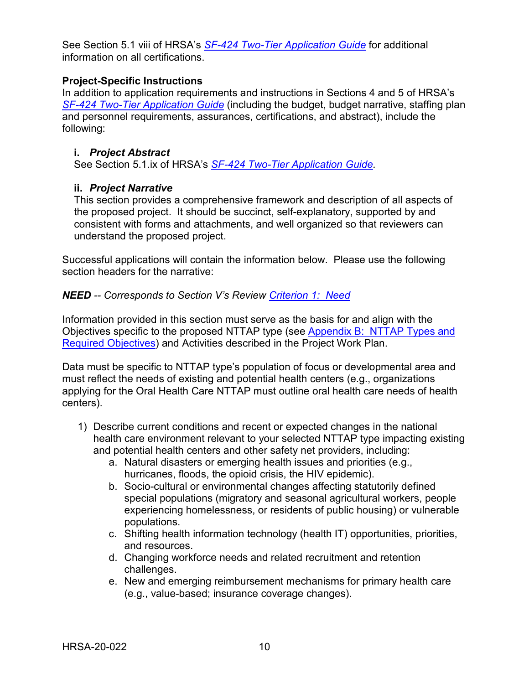See Section 5.1 viii of HRSA's *SF-424 [Two-Tier Application Guide](http://www.hrsa.gov/grants/apply/applicationguide/sf424programspecificappguide.pdf)* for additional information on all certifications.

#### **Project-Specific Instructions**

In addition to application requirements and instructions in Sections 4 and 5 of HRSA's *SF-424 [Two-Tier Application Guide](http://www.hrsa.gov/grants/apply/applicationguide/sf424programspecificappguide.pdf)* (including the budget, budget narrative, staffing plan and personnel requirements, assurances, certifications, and abstract), include the following:

#### <span id="page-13-0"></span>**i.** *Project Abstract*

See Section 5.1.ix of HRSA's *SF-424 [Two-Tier Application Guide.](http://www.hrsa.gov/grants/apply/applicationguide/sf424programspecificappguide.pdf)*

### <span id="page-13-1"></span>**ii.** *Project Narrative*

This section provides a comprehensive framework and description of all aspects of the proposed project. It should be succinct, self-explanatory, supported by and consistent with forms and attachments, and well organized so that reviewers can understand the proposed project.

Successful applications will contain the information below. Please use the following section headers for the narrative:

#### <span id="page-13-2"></span>*NEED -- Corresponds to Section V's Review [Criterion](#page-23-0) 1: Need*

Information provided in this section must serve as the basis for and align with the Objectives specific to the proposed NTTAP type (see Appendix [B: NTTAP](#page-33-0) Types and [Required](#page-33-0) Objectives) and Activities described in the Project Work Plan.

Data must be specific to NTTAP type's population of focus or developmental area and must reflect the needs of existing and potential health centers (e.g., organizations applying for the Oral Health Care NTTAP must outline oral health care needs of health centers).

- 1) Describe current conditions and recent or expected changes in the national health care environment relevant to your selected NTTAP type impacting existing and potential health centers and other safety net providers, including:
	- a. Natural disasters or emerging health issues and priorities (e.g., hurricanes, floods, the opioid crisis, the HIV epidemic).
	- b. Socio-cultural or environmental changes affecting statutorily defined special populations (migratory and seasonal agricultural workers, people experiencing homelessness, or residents of public housing) or vulnerable populations.
	- c. Shifting health information technology (health IT) opportunities, priorities, and resources.
	- d. Changing workforce needs and related recruitment and retention challenges.
	- e. New and emerging reimbursement mechanisms for primary health care (e.g., value-based; insurance coverage changes).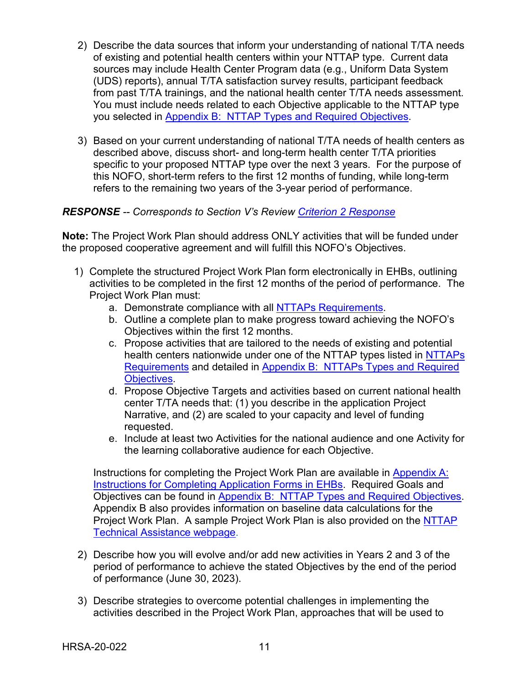- 2) Describe the data sources that inform your understanding of national T/TA needs of existing and potential health centers within your NTTAP type. Current data sources may include Health Center Program data (e.g., Uniform Data System (UDS) reports), annual T/TA satisfaction survey results, participant feedback from past T/TA trainings, and the national health center T/TA needs assessment. You must include needs related to each Objective applicable to the NTTAP type you selected in Appendix [B: NTTAP](#page-33-0) Types and Required Objectives.
- 3) Based on your current understanding of national T/TA needs of health centers as described above, discuss short- and long-term health center T/TA priorities specific to your proposed NTTAP type over the next 3 years. For the purpose of this NOFO, short-term refers to the first 12 months of funding, while long-term refers to the remaining two years of the 3-year period of performance.

#### <span id="page-14-0"></span>*RESPONSE -- Corresponds to Section V's Review Criterion 2 [Response](#page-24-0)*

**Note:** The Project Work Plan should address ONLY activities that will be funded under the proposed cooperative agreement and will fulfill this NOFO's Objectives.

- 1) Complete the structured Project Work Plan form electronically in EHBs, outlining activities to be completed in the first 12 months of the period of performance. The Project Work Plan must:
	- a. Demonstrate compliance with all NTTAPs [Requirements.](#page-6-0)
	- b. Outline a complete plan to make progress toward achieving the NOFO's Objectives within the first 12 months.
	- c. Propose activities that are tailored to the needs of existing and potential health centers nationwide under one of the NTTAP types listed in [NTTAPs](#page-6-0) [Requirements](#page-6-0) and detailed in Appendix [B: NTTAPs Types](#page-33-0) and Required [Obje](#page-33-0)ctives.
	- d. Propose Objective Targets and activities based on current national health center T/TA needs that: (1) you describe in the application Project Narrative, and (2) are scaled to your capacity and level of funding requested.
	- e. Include at least two Activities for the national audience and one Activity for the learning collaborative audience for each Objective.

Instructions for completing the Project Work Plan are available in [Appendix](#page-31-0) A: [Instructions](#page-31-0) for Completing Application Forms in EHBs. Required Goals and Objectives can be found in Appendix [B: NTTAP](#page-33-0) Types and Required Objectives. Appendix B also provides information on baseline data calculations for the Project Work Plan. A sample Project Work Plan is also provided on the NTTAP [Technical Assistance webpage.](https://bphc.hrsa.gov/program-opportunities/funding-opportunities/nttap)

- 2) Describe how you will evolve and/or add new activities in Years 2 and 3 of the period of performance to achieve the stated Objectives by the end of the period of performance (June 30, 2023).
- 3) Describe strategies to overcome potential challenges in implementing the activities described in the Project Work Plan, approaches that will be used to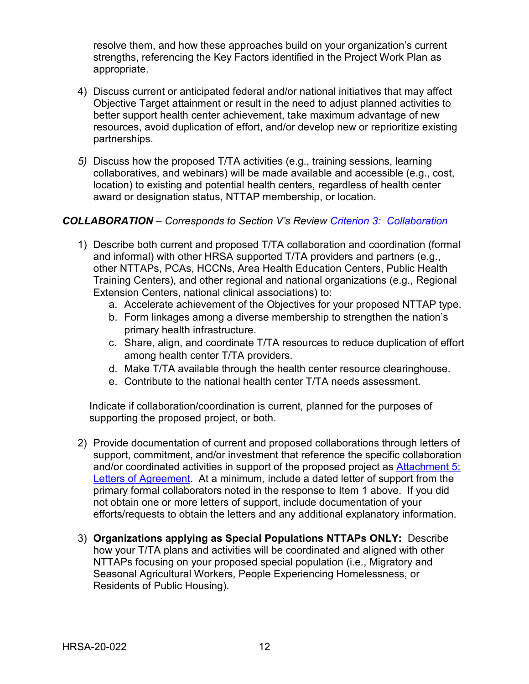resolve them, and how these approaches build on your organization's current strengths, referencing the Key Factors identified in the Project Work Plan as appropriate.

- 4) Discuss current or anticipated federal and/or national initiatives that may affect Objective Target attainment or result in the need to adjust planned activities to better support health center achievement, take maximum advantage of new resources, avoid duplication of effort, and/or develop new or reprioritize existing partnerships.
- *5)* Discuss how the proposed T/TA activities (e.g., training sessions, learning collaboratives, and webinars) will be made available and accessible (e.g., cost, location) to existing and potential health centers, regardless of health center award or designation status, NTTAP membership, or location.

#### <span id="page-15-0"></span>*COLLABORATION – Corresponds to Section V's Review Criterion [3: Collaboration](#page-24-1)*

- 1) Describe both current and proposed T/TA collaboration and coordination (formal and informal) with other HRSA supported T/TA providers and partners (e.g., other NTTAPs, PCAs, HCCNs, Area Health Education Centers, Public Health Training Centers), and other regional and national organizations (e.g., Regional Extension Centers, national clinical associations) to:
	- a. Accelerate achievement of the Objectives for your proposed NTTAP type.
	- b. Form linkages among a diverse membership to strengthen the nation's primary health infrastructure.
	- c. Share, align, and coordinate T/TA resources to reduce duplication of effort among health center T/TA providers.
	- d. Make T/TA available through the health center resource clearinghouse.
	- e. Contribute to the national health center T/TA needs assessment.

Indicate if collaboration/coordination is current, planned for the purposes of supporting the proposed project, or both.

- 2) Provide documentation of current and proposed collaborations through letters of support, commitment, and/or investment that reference the specific collaboration and/or coordinated activities in support of the proposed project as [Attachment](#page-19-2) 5: Letters of [Agreement.](#page-19-2) At a minimum, include a dated letter of support from the primary formal collaborators noted in the response to Item 1 above. If you did not obtain one or more letters of support, include documentation of your efforts/requests to obtain the letters and any additional explanatory information.
- <span id="page-15-1"></span>3) **Organizations applying as Special Populations NTTAPs ONLY:** Describe how your T/TA plans and activities will be coordinated and aligned with other NTTAPs focusing on your proposed special population (i.e., Migratory and Seasonal Agricultural Workers, People Experiencing Homelessness, or Residents of Public Housing).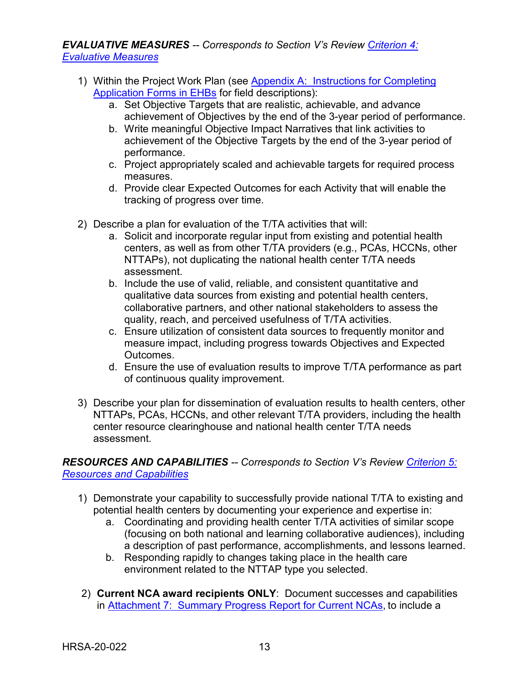*EVALUATIVE MEASURES -- Corresponds to Section V's Review [Criterion](#page-25-0) 4: [Evaluative](#page-25-0) Measures*

- 1) Within the Project Work Plan (see Appendix [A: Instructions](#page-31-0) for Completing Application Forms in EHBs for field descriptions):
	- a. Set Objective Targets that are realistic, achievable, and advance achievement of Objectives by the end of the 3-year period of performance.
	- b. Write meaningful Objective Impact Narratives that link activities to achievement of the Objective Targets by the end of the 3-year period of performance.
	- c. Project appropriately scaled and achievable targets for required process measures.
	- d. Provide clear Expected Outcomes for each Activity that will enable the tracking of progress over time.
- 2) Describe a plan for evaluation of the T/TA activities that will:
	- a. Solicit and incorporate regular input from existing and potential health centers, as well as from other T/TA providers (e.g., PCAs, HCCNs, other NTTAPs), not duplicating the national health center T/TA needs assessment.
	- b. Include the use of valid, reliable, and consistent quantitative and qualitative data sources from existing and potential health centers, collaborative partners, and other national stakeholders to assess the quality, reach, and perceived usefulness of T/TA activities.
	- c. Ensure utilization of consistent data sources to frequently monitor and measure impact, including progress towards Objectives and Expected Outcomes.
	- d. Ensure the use of evaluation results to improve T/TA performance as part of continuous quality improvement.
- 3) Describe your plan for dissemination of evaluation results to health centers, other NTTAPs, PCAs, HCCNs, and other relevant T/TA providers, including the health center resource clearinghouse and national health center T/TA needs assessment.

## <span id="page-16-0"></span>*RESOURCES AND CAPABILITIES -- Corresponds to Section V's Review [Criterion](#page-26-0) 5: [Resources and](#page-26-0) Capabilities*

- 1) Demonstrate your capability to successfully provide national T/TA to existing and potential health centers by documenting your experience and expertise in:
	- a. Coordinating and providing health center T/TA activities of similar scope (focusing on both national and learning collaborative audiences), including a description of past performance, accomplishments, and lessons learned.
	- b. Responding rapidly to changes taking place in the health care environment related to the NTTAP type you selected.
- 2) **Current NCA award recipients ONLY**: Document successes and capabilities in Attachment [7: Summary](#page-20-2) Progress Report for Current NCAs, to include a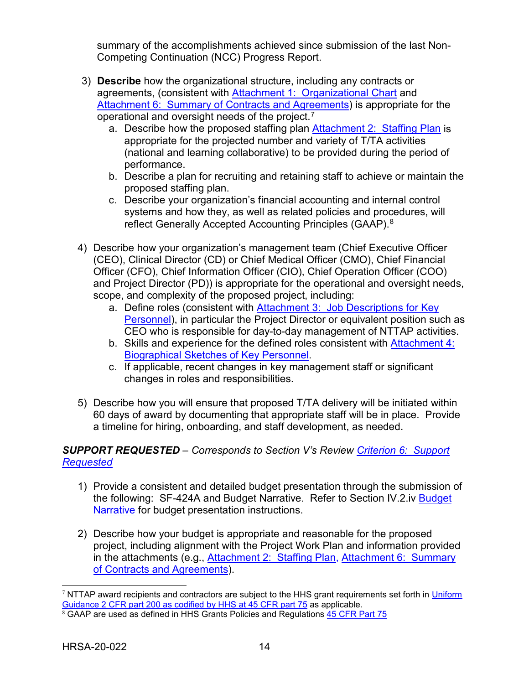summary of the accomplishments achieved since submission of the last Non-Competing Continuation (NCC) Progress Report.

- 3) **Describe** how the organizational structure, including any contracts or agreements, (consistent with Attachment [1: Organizational](#page-19-3) Chart and Attachment [6: Summary](#page-20-3) of Contracts and Agreements) is appropriate for the operational and oversight needs of the project. $^7$  $^7$ 
	- a. Describe how the proposed staffing plan [Attachment 2: Staffing](#page-19-4) Plan is appropriate for the projected number and variety of T/TA activities (national and learning collaborative) to be provided during the period of performance.
	- b. Describe a plan for recruiting and retaining staff to achieve or maintain the proposed staffing plan.
	- c. Describe your organization's financial accounting and internal control systems and how they, as well as related policies and procedures, will reflect Generally Accepted Accounting Principles (GAAP).<sup>[8](#page-17-1)</sup>
- 4) Describe how your organization's management team (Chief Executive Officer (CEO), Clinical Director (CD) or Chief Medical Officer (CMO), Chief Financial Officer (CFO), Chief Information Officer (CIO), Chief Operation Officer (COO) and Project Director (PD)) is appropriate for the operational and oversight needs, scope, and complexity of the proposed project, including:
	- a. Define roles (consistent with Attachment 3: Job Descriptions for Key Personnel), in particular the Project Director or equivalent position such as CEO who is responsible for day-to-day management of NTTAP activities.
	- b. Skills and experience for the defined roles consistent with Attachment 4: Biographical Sketches of Key Personnel.
	- c. If applicable, recent changes in key management staff or significant changes in roles and responsibilities.
- 5) Describe how you will ensure that proposed T/TA delivery will be initiated within 60 days of award by documenting that appropriate staff will be in place. Provide a timeline for hiring, onboarding, and staff development, as needed.

## <span id="page-17-2"></span>*SUPPORT REQUESTED – Corresponds to Section V's Review Criterion [6: Support](#page-27-2) [Requested](#page-27-2)*

- 1) Provide a consistent and detailed budget presentation through the submission of the following: SF-424A and Budget Narrative. Refer to Section IV.2.iv [Budget](#page-18-1) [Narrative](#page-18-1) for budget presentation instructions.
- 2) Describe how your budget is appropriate and reasonable for the proposed project, including alignment with the Project Work Plan and information provided in the attachments (e.g., [Attachment](#page-19-4) 2: Staffing Plan, Attachment [6: Summary](#page-20-3) of [Contracts](#page-20-3) and Agreements).

<span id="page-17-0"></span><sup>&</sup>lt;sup>7</sup> NTTAP award recipients and contractors are subject to the HHS grant requirements set forth in Uniform [Guidance 2 CFR part 200 as codified by HHS at 45 CFR part 75](http://www.ecfr.gov/cgi-bin/retrieveECFR?gp=1&SID=4d52364ec83fab994c665943dadf9cf7&ty=HTML&h=L&r=PART&n=pt45.1.75) as applicable.

<span id="page-17-1"></span> $8$  GAAP are used as defined in HHS Grants Policies and Regulations  $45$  CFR Part 75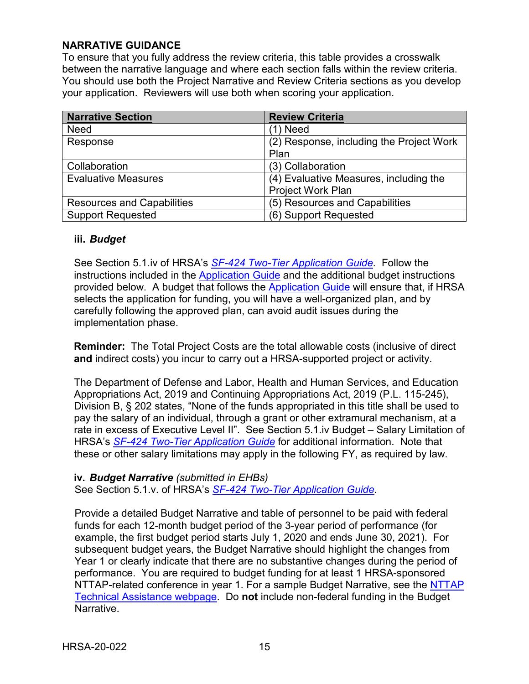#### **NARRATIVE GUIDANCE**

To ensure that you fully address the review criteria, this table provides a crosswalk between the narrative language and where each section falls within the review criteria. You should use both the Project Narrative and Review Criteria sections as you develop your application. Reviewers will use both when scoring your application.

| <b>Narrative Section</b>          | <b>Review Criteria</b>                   |
|-----------------------------------|------------------------------------------|
| <b>Need</b>                       | (1) Need                                 |
| Response                          | (2) Response, including the Project Work |
|                                   | Plan                                     |
| Collaboration                     | (3) Collaboration                        |
| <b>Evaluative Measures</b>        | (4) Evaluative Measures, including the   |
|                                   | Project Work Plan                        |
| <b>Resources and Capabilities</b> | (5) Resources and Capabilities           |
| <b>Support Requested</b>          | (6) Support Requested                    |

#### <span id="page-18-0"></span>**iii.** *Budget*

See Section 5.1.iv of HRSA's *SF-424 [Two-Tier Application Guide.](http://www.hrsa.gov/grants/apply/applicationguide/sf424programspecificappguide.pdf)* Follow the instructions included in the **Application Guide and the additional budget instructions** provided below. A budget that follows the [Application Guide](https://www.hrsa.gov/sites/default/files/hrsa/grants/apply/applicationguide/sf-424-app-guide-2-tier.pdf) will ensure that, if HRSA selects the application for funding, you will have a well-organized plan, and by carefully following the approved plan, can avoid audit issues during the implementation phase.

**Reminder:** The Total Project Costs are the total allowable costs (inclusive of direct **and** indirect costs) you incur to carry out a HRSA-supported project or activity.

The Department of Defense and Labor, Health and Human Services, and Education Appropriations Act, 2019 and Continuing Appropriations Act, 2019 (P.L. 115-245), Division B, § 202 states, "None of the funds appropriated in this title shall be used to pay the salary of an individual, through a grant or other extramural mechanism, at a rate in excess of Executive Level II". See Section 5.1.iv Budget – Salary Limitation of HRSA's *SF-424 [Two-Tier Application Guide](http://www.hrsa.gov/grants/apply/applicationguide/sf424programspecificappguide.pdf)* for additional information. Note that these or other salary limitations may apply in the following FY, as required by law.

#### <span id="page-18-1"></span>**iv.** *Budget Narrative (submitted in EHBs)*

See Section 5.1.v. of HRSA's *SF-424 [Two-Tier Application Guide.](http://www.hrsa.gov/grants/apply/applicationguide/sf424programspecificappguide.pdf)* 

Provide a detailed Budget Narrative and table of personnel to be paid with federal funds for each 12-month budget period of the 3-year period of performance (for example, the first budget period starts July 1, 2020 and ends June 30, 2021). For subsequent budget years, the Budget Narrative should highlight the changes from Year 1 or clearly indicate that there are no substantive changes during the period of performance. You are required to budget funding for at least 1 HRSA-sponsored NTTAP-related conference in year 1. For a sample Budget Narrative, see the [NTTAP](https://bphc.hrsa.gov/program-opportunities/funding-opportunities/nttap)  [Technical Assistance webpage.](https://bphc.hrsa.gov/program-opportunities/funding-opportunities/nttap) Do **not** include non-federal funding in the Budget Narrative.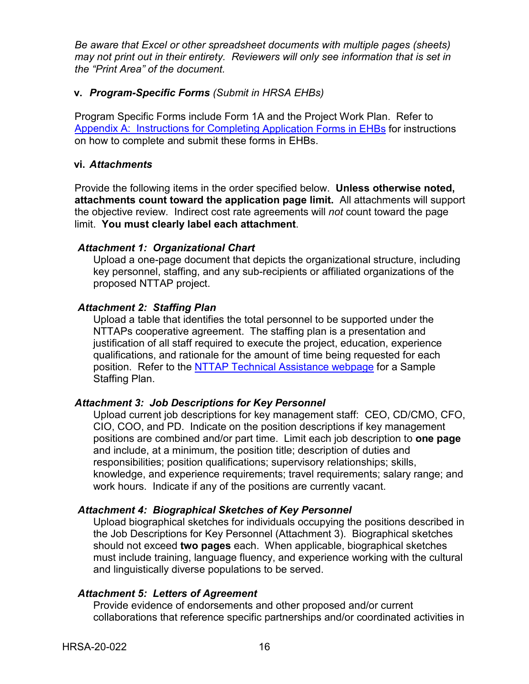*Be aware that Excel or other spreadsheet documents with multiple pages (sheets) may not print out in their entirety. Reviewers will only see information that is set in the "Print Area" of the document.*

#### <span id="page-19-0"></span>**v.** *Program-Specific Forms (Submit in HRSA EHBs)*

Program Specific Forms include Form 1A and the Project Work Plan. Refer to Appendix [A: Instructions for](#page-31-0) Completing Application Forms in EHBs for instructions on how to complete and submit these forms in EHBs.

#### <span id="page-19-1"></span>**vi.** *Attachments*

Provide the following items in the order specified below. **Unless otherwise noted, attachments count toward the application page limit.** All attachments will support the objective review. Indirect cost rate agreements will *not* count toward the page limit. **You must clearly label each attachment**.

#### <span id="page-19-3"></span>*Attachment 1: Organizational Chart*

Upload a one-page document that depicts the organizational structure, including key personnel, staffing, and any sub-recipients or affiliated organizations of the proposed NTTAP project.

#### <span id="page-19-4"></span>*Attachment 2: Staffing Plan*

Upload a table that identifies the total personnel to be supported under the NTTAPs cooperative agreement. The staffing plan is a presentation and justification of all staff required to execute the project, education, experience qualifications, and rationale for the amount of time being requested for each position. Refer to the [NTTAP Technical Assistance webpage](https://bphc.hrsa.gov/program-opportunities/funding-opportunities/nttap) for a Sample Staffing Plan.

### <span id="page-19-5"></span>*Attachment 3: Job Descriptions for Key Personnel*

Upload current job descriptions for key management staff: CEO, CD/CMO, CFO, CIO, COO, and PD. Indicate on the position descriptions if key management positions are combined and/or part time. Limit each job description to **one page** and include, at a minimum, the position title; description of duties and responsibilities; position qualifications; supervisory relationships; skills, knowledge, and experience requirements; travel requirements; salary range; and work hours. Indicate if any of the positions are currently vacant.

#### <span id="page-19-6"></span>*Attachment 4: Biographical Sketches of Key Personnel*

Upload biographical sketches for individuals occupying the positions described in the Job Descriptions for Key Personnel (Attachment 3). Biographical sketches should not exceed **two pages** each. When applicable, biographical sketches must include training, language fluency, and experience working with the cultural and linguistically diverse populations to be served.

### <span id="page-19-2"></span>*Attachment 5: Letters of Agreement*

Provide evidence of endorsements and other proposed and/or current collaborations that reference specific partnerships and/or coordinated activities in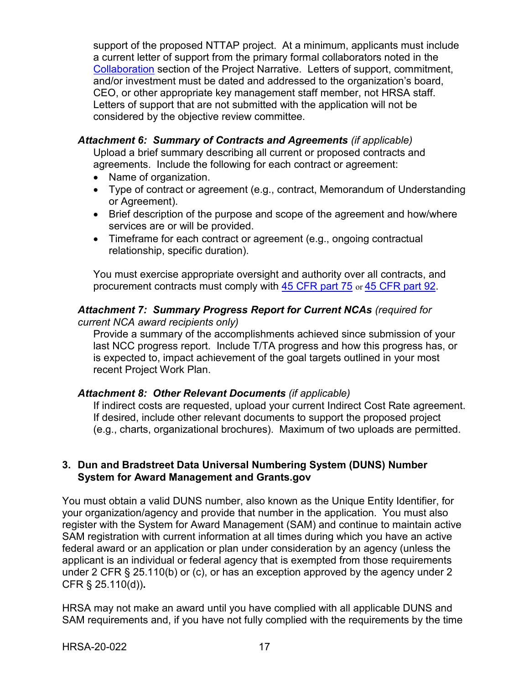support of the proposed NTTAP project. At a minimum, applicants must include a current letter of support from the primary formal collaborators noted in the [Collaboration](#page-15-0) section of the Project Narrative. Letters of support, commitment, and/or investment must be dated and addressed to the organization's board, CEO, or other appropriate key management staff member, not HRSA staff. Letters of support that are not submitted with the application will not be considered by the objective review committee.

#### <span id="page-20-3"></span>*Attachment 6: Summary of Contracts and Agreements (if applicable)*

Upload a brief summary describing all current or proposed contracts and agreements. Include the following for each contract or agreement:

- Name of organization.
- Type of contract or agreement (e.g., contract, Memorandum of Understanding or Agreement).
- Brief description of the purpose and scope of the agreement and how/where services are or will be provided.
- Timeframe for each contract or agreement (e.g., ongoing contractual relationship, specific duration).

You must exercise appropriate oversight and authority over all contracts, and procurement contracts must comply with [45 CFR part 75](http://www.ecfr.gov/cgi-bin/text-idx?SID=2596fb6d4a3822a1567cc37062192707&mc=true&node=pt45.1.75&rgn=div5) or [45 CFR part 92.](http://www.ecfr.gov/cgi-bin/text-idx?SID=ed9689fa98ea777d0c76734896982310&mc=true&node=pt45.1.92&rgn=div5)

#### <span id="page-20-2"></span>*Attachment 7: Summary Progress Report for Current NCAs (required for current NCA award recipients only)*

Provide a summary of the accomplishments achieved since submission of your last NCC progress report. Include T/TA progress and how this progress has, or is expected to, impact achievement of the goal targets outlined in your most recent Project Work Plan.

### <span id="page-20-1"></span>*Attachment 8: Other Relevant Documents (if applicable)*

If indirect costs are requested, upload your current Indirect Cost Rate agreement. If desired, include other relevant documents to support the proposed project (e.g., charts, organizational brochures). Maximum of two uploads are permitted.

#### <span id="page-20-0"></span>**3. Dun and Bradstreet Data Universal Numbering System (DUNS) Number System for Award Management and Grants.gov**

You must obtain a valid DUNS number, also known as the Unique Entity Identifier, for your organization/agency and provide that number in the application. You must also register with the System for Award Management (SAM) and continue to maintain active SAM registration with current information at all times during which you have an active federal award or an application or plan under consideration by an agency (unless the applicant is an individual or federal agency that is exempted from those requirements under 2 CFR § 25.110(b) or (c), or has an exception approved by the agency under 2 CFR § 25.110(d))**.**

HRSA may not make an award until you have complied with all applicable DUNS and SAM requirements and, if you have not fully complied with the requirements by the time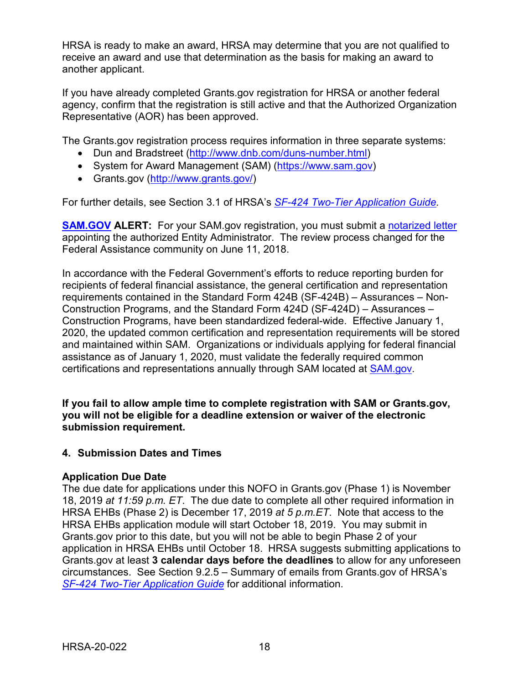HRSA is ready to make an award, HRSA may determine that you are not qualified to receive an award and use that determination as the basis for making an award to another applicant.

If you have already completed Grants.gov registration for HRSA or another federal agency, confirm that the registration is still active and that the Authorized Organization Representative (AOR) has been approved.

The Grants.gov registration process requires information in three separate systems:

- Dun and Bradstreet [\(http://www.dnb.com/duns-number.html\)](http://www.dnb.com/duns-number.html)
- System for Award Management (SAM) [\(https://www.sam.gov\)](https://www.sam.gov/)
- Grants.gov [\(http://www.grants.gov/\)](http://www.grants.gov/)

For further details, see Section 3.1 of HRSA's *[SF-424 Two-Tier Application Guide.](http://www.hrsa.gov/grants/apply/applicationguide/sf424programspecificappguide.pdf)*

**[SAM.GOV](http://sam.gov/) ALERT:** For your SAM.gov registration, you must submit a [notarized letter](https://www.fsd.gov/fsd-gov/answer.do?sysparm_kbid=d2e67885db0d5f00b3257d321f96194b&sysparm_search=kb0013183) appointing the authorized Entity Administrator. The review process changed for the Federal Assistance community on June 11, 2018.

In accordance with the Federal Government's efforts to reduce reporting burden for recipients of federal financial assistance, the general certification and representation requirements contained in the Standard Form 424B (SF-424B) – Assurances – Non-Construction Programs, and the Standard Form 424D (SF-424D) – Assurances – Construction Programs, have been standardized federal-wide. Effective January 1, 2020, the updated common certification and representation requirements will be stored and maintained within SAM. Organizations or individuals applying for federal financial assistance as of January 1, 2020, must validate the federally required common certifications and representations annually through SAM located at [SAM.gov.](https://www.sam.gov/)

**If you fail to allow ample time to complete registration with SAM or Grants.gov, you will not be eligible for a deadline extension or waiver of the electronic submission requirement.**

#### <span id="page-21-0"></span>**4. Submission Dates and Times**

#### **Application Due Date**

The due date for applications under this NOFO in Grants.gov (Phase 1) is November 18, 2019 *at 11:59 p.m. ET*. The due date to complete all other required information in HRSA EHBs (Phase 2) is December 17, 2019 *at 5 p.m.ET*. Note that access to the HRSA EHBs application module will start October 18, 2019. You may submit in Grants.gov prior to this date, but you will not be able to begin Phase 2 of your application in HRSA EHBs until October 18. HRSA suggests submitting applications to Grants.gov at least **3 calendar days before the deadlines** to allow for any unforeseen circumstances. See Section 9.2.5 – Summary of emails from Grants.gov of HRSA's *[SF-424 Two-Tier Application Guide](https://www.hrsa.gov/sites/default/files/hrsa/grants/apply/applicationguide/sf-424-program-specific-app-guide.pdf)* for additional information.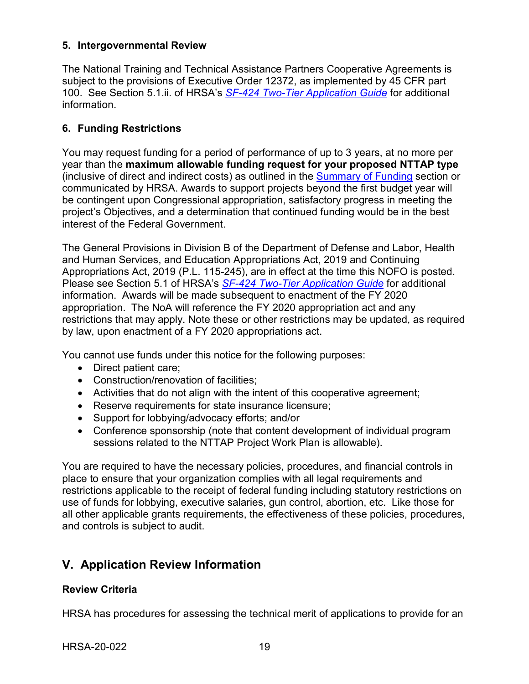#### <span id="page-22-0"></span>**5. Intergovernmental Review**

The National Training and Technical Assistance Partners Cooperative Agreements is subject to the provisions of Executive Order 12372, as implemented by 45 CFR part 100. See Section 5.1.ii. of HRSA's *SF-424 [Two-Tier Application Guide](http://www.hrsa.gov/grants/apply/applicationguide/sf424programspecificappguide.pdf)* for additional information.

### <span id="page-22-1"></span>**6. Funding Restrictions**

You may request funding for a period of performance of up to 3 years, at no more per year than the **maximum allowable funding request for your proposed NTTAP type** (inclusive of direct and indirect costs) as outlined in the [Summary](#page-9-0) of Funding section or communicated by HRSA. Awards to support projects beyond the first budget year will be contingent upon Congressional appropriation, satisfactory progress in meeting the project's Objectives, and a determination that continued funding would be in the best interest of the Federal Government.

The General Provisions in Division B of the Department of Defense and Labor, Health and Human Services, and Education Appropriations Act, 2019 and Continuing Appropriations Act, 2019 (P.L. 115-245), are in effect at the time this NOFO is posted. Please see Section 5.1 of HRSA's *SF-424 Two-Tier [Application Guide](http://www.hrsa.gov/grants/apply/applicationguide/sf424programspecificappguide.pdf)* for additional information. Awards will be made subsequent to enactment of the FY 2020 appropriation. The NoA will reference the FY 2020 appropriation act and any restrictions that may apply. Note these or other restrictions may be updated, as required by law, upon enactment of a FY 2020 appropriations act.

You cannot use funds under this notice for the following purposes:

- Direct patient care;
- Construction/renovation of facilities;
- Activities that do not align with the intent of this cooperative agreement;
- Reserve requirements for state insurance licensure;
- Support for lobbying/advocacy efforts; and/or
- Conference sponsorship (note that content development of individual program sessions related to the NTTAP Project Work Plan is allowable).

You are required to have the necessary policies, procedures, and financial controls in place to ensure that your organization complies with all legal requirements and restrictions applicable to the receipt of federal funding including statutory restrictions on use of funds for lobbying, executive salaries, gun control, abortion, etc. Like those for all other applicable grants requirements, the effectiveness of these policies, procedures, and controls is subject to audit.

## <span id="page-22-2"></span>**V. Application Review Information**

#### <span id="page-22-3"></span>**Review Criteria**

HRSA has procedures for assessing the technical merit of applications to provide for an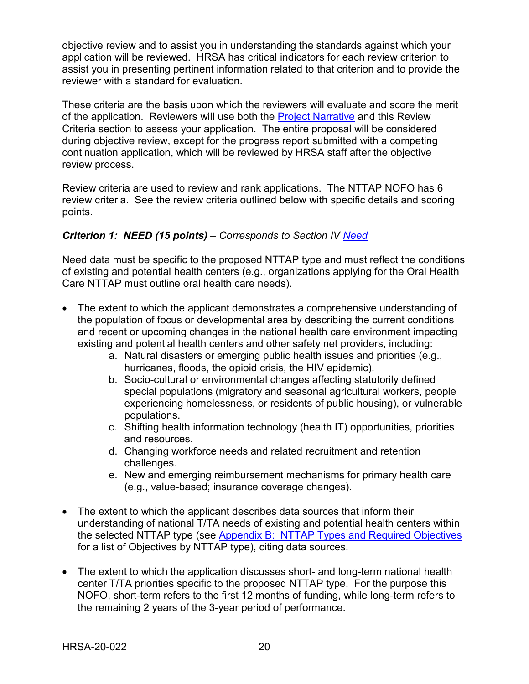objective review and to assist you in understanding the standards against which your application will be reviewed. HRSA has critical indicators for each review criterion to assist you in presenting pertinent information related to that criterion and to provide the reviewer with a standard for evaluation.

These criteria are the basis upon which the reviewers will evaluate and score the merit of the application. Reviewers will use both the Project [Narrative](#page-13-1) and this Review Criteria section to assess your application. The entire proposal will be considered during objective review, except for the progress report submitted with a competing continuation application, which will be reviewed by HRSA staff after the objective review process.

Review criteria are used to review and rank applications. The NTTAP NOFO has 6 review criteria. See the review criteria outlined below with specific details and scoring points.

#### <span id="page-23-0"></span>*Criterion 1: NEED (15 points) – Corresponds to Section IV [Need](#page-13-2)*

Need data must be specific to the proposed NTTAP type and must reflect the conditions of existing and potential health centers (e.g., organizations applying for the Oral Health Care NTTAP must outline oral health care needs).

- The extent to which the applicant demonstrates a comprehensive understanding of the population of focus or developmental area by describing the current conditions and recent or upcoming changes in the national health care environment impacting existing and potential health centers and other safety net providers, including:
	- a. Natural disasters or emerging public health issues and priorities (e.g., hurricanes, floods, the opioid crisis, the HIV epidemic).
	- b. Socio-cultural or environmental changes affecting statutorily defined special populations (migratory and seasonal agricultural workers, people experiencing homelessness, or residents of public housing), or vulnerable populations.
	- c. Shifting health information technology (health IT) opportunities, priorities and resources.
	- d. Changing workforce needs and related recruitment and retention challenges.
	- e. New and emerging reimbursement mechanisms for primary health care (e.g., value-based; insurance coverage changes).
- The extent to which the applicant describes data sources that inform their understanding of national T/TA needs of existing and potential health centers within the selected NTTAP type (see Appendix [B: NTTAP](#page-33-0) Types and Required Objectives for a list of Objectives by NTTAP type), citing data sources.
- The extent to which the application discusses short- and long-term national health center T/TA priorities specific to the proposed NTTAP type. For the purpose this NOFO, short-term refers to the first 12 months of funding, while long-term refers to the remaining 2 years of the 3-year period of performance.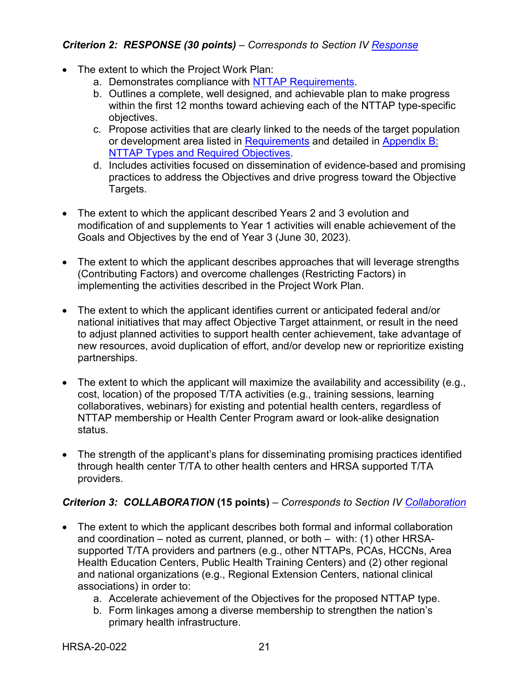## <span id="page-24-0"></span>*Criterion 2: RESPONSE (30 points) – Corresponds to Section IV [Response](#page-14-0)*

- The extent to which the Project Work Plan:
	- a. Demonstrates compliance with NTTAP [Requirements.](#page-6-0)
	- b. Outlines a complete, well designed, and achievable plan to make progress within the first 12 months toward achieving each of the NTTAP type-specific objectives.
	- c. Propose activities that are clearly linked to the needs of the target population or development area listed in [Requirements](#page-6-0) and detailed in [Appendix](#page-33-0) B: NTTAP Types and [Required](#page-33-0) Objectives.
	- d. Includes activities focused on dissemination of evidence-based and promising practices to address the Objectives and drive progress toward the Objective Targets.
- The extent to which the applicant described Years 2 and 3 evolution and modification of and supplements to Year 1 activities will enable achievement of the Goals and Objectives by the end of Year 3 (June 30, 2023).
- The extent to which the applicant describes approaches that will leverage strengths (Contributing Factors) and overcome challenges (Restricting Factors) in implementing the activities described in the Project Work Plan.
- The extent to which the applicant identifies current or anticipated federal and/or national initiatives that may affect Objective Target attainment, or result in the need to adjust planned activities to support health center achievement, take advantage of new resources, avoid duplication of effort, and/or develop new or reprioritize existing partnerships.
- The extent to which the applicant will maximize the availability and accessibility (e.g., cost, location) of the proposed T/TA activities (e.g., training sessions, learning collaboratives, webinars) for existing and potential health centers, regardless of NTTAP membership or Health Center Program award or look-alike designation status.
- The strength of the applicant's plans for disseminating promising practices identified through health center T/TA to other health centers and HRSA supported T/TA providers.

### <span id="page-24-1"></span>*Criterion 3: COLLABORATION* **(15 points)** *– Corresponds to Section IV [Collaboration](#page-15-0)*

- The extent to which the applicant describes both formal and informal collaboration and coordination – noted as current, planned, or both – with: (1) other HRSAsupported T/TA providers and partners (e.g., other NTTAPs, PCAs, HCCNs, Area Health Education Centers, Public Health Training Centers) and (2) other regional and national organizations (e.g., Regional Extension Centers, national clinical associations) in order to:
	- a. Accelerate achievement of the Objectives for the proposed NTTAP type.
	- b. Form linkages among a diverse membership to strengthen the nation's primary health infrastructure.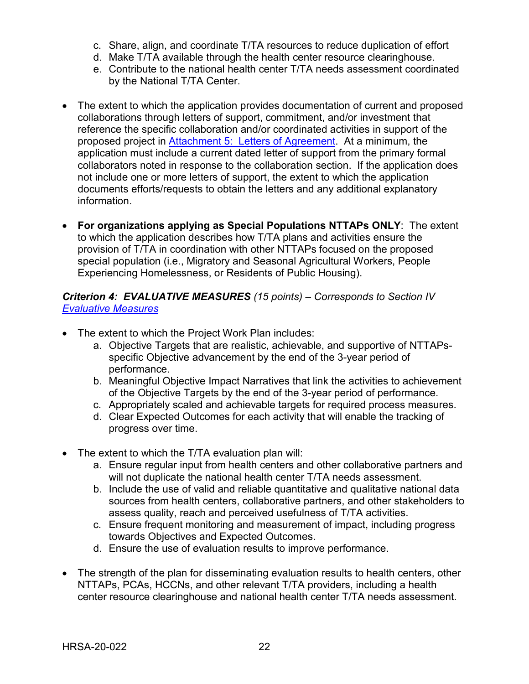- c. Share, align, and coordinate T/TA resources to reduce duplication of effort
- d. Make T/TA available through the health center resource clearinghouse.
- e. Contribute to the national health center T/TA needs assessment coordinated by the National T/TA Center.
- The extent to which the application provides documentation of current and proposed collaborations through letters of support, commitment, and/or investment that reference the specific collaboration and/or coordinated activities in support of the proposed project in [Attachment](#page-19-2) 5: Letters of Agreement. At a minimum, the application must include a current dated letter of support from the primary formal collaborators noted in response to the collaboration section. If the application does not include one or more letters of support, the extent to which the application documents efforts/requests to obtain the letters and any additional explanatory information.
- **For organizations applying as Special Populations NTTAPs ONLY**: The extent to which the application describes how T/TA plans and activities ensure the provision of T/TA in coordination with other NTTAPs focused on the proposed special population (i.e., Migratory and Seasonal Agricultural Workers, People Experiencing Homelessness, or Residents of Public Housing).

<span id="page-25-0"></span>*Criterion 4: EVALUATIVE MEASURES (15 points) – Corresponds to Section IV [Evaluative](#page-15-1) Measures*

- The extent to which the Project Work Plan includes:
	- a. Objective Targets that are realistic, achievable, and supportive of NTTAPsspecific Objective advancement by the end of the 3-year period of performance.
	- b. Meaningful Objective Impact Narratives that link the activities to achievement of the Objective Targets by the end of the 3-year period of performance.
	- c. Appropriately scaled and achievable targets for required process measures.
	- d. Clear Expected Outcomes for each activity that will enable the tracking of progress over time.
- The extent to which the T/TA evaluation plan will:
	- a. Ensure regular input from health centers and other collaborative partners and will not duplicate the national health center T/TA needs assessment.
	- b. Include the use of valid and reliable quantitative and qualitative national data sources from health centers, collaborative partners, and other stakeholders to assess quality, reach and perceived usefulness of T/TA activities.
	- c. Ensure frequent monitoring and measurement of impact, including progress towards Objectives and Expected Outcomes.
	- d. Ensure the use of evaluation results to improve performance.
- The strength of the plan for disseminating evaluation results to health centers, other NTTAPs, PCAs, HCCNs, and other relevant T/TA providers, including a health center resource clearinghouse and national health center T/TA needs assessment.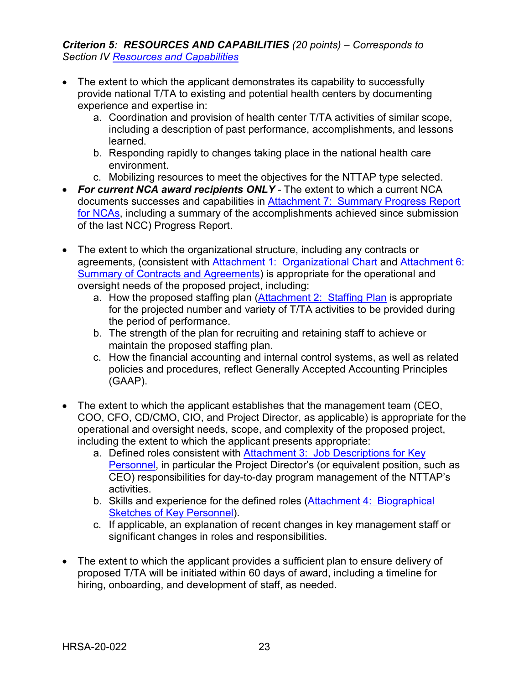<span id="page-26-0"></span>*Criterion 5: RESOURCES AND CAPABILITIES (20 points) – Corresponds to Section IV Resources and [Capabilities](#page-16-0)*

- The extent to which the applicant demonstrates its capability to successfully provide national T/TA to existing and potential health centers by documenting experience and expertise in:
	- a. Coordination and provision of health center T/TA activities of similar scope, including a description of past performance, accomplishments, and lessons learned.
	- b. Responding rapidly to changes taking place in the national health care environment.
	- c. Mobilizing resources to meet the objectives for the NTTAP type selected.
- *For current NCA award recipients ONLY* The extent to which a current NCA documents successes and capabilities in Attachment [7: Summary](#page-20-2) Progress Report [for](#page-20-2) NCAs, including a summary of the accomplishments achieved since submission of the last NCC) Progress Report.
- The extent to which the organizational structure, including any contracts or agreements, (consistent with [Attachment 1: Organizational Chart](#page-19-3) and Attachment 6: [Summary of Contracts and](#page-20-3) Agreements) is appropriate for the operational and oversight needs of the proposed project, including:
	- a. How the proposed staffing plan [\(Attachment](#page-19-4) 2: Staffing Plan is appropriate for the projected number and variety of T/TA activities to be provided during the period of performance.
	- b. The strength of the plan for recruiting and retaining staff to achieve or maintain the proposed staffing plan.
	- c. How the financial accounting and internal control systems, as well as related policies and procedures, reflect Generally Accepted Accounting Principles (GAAP).
- The extent to which the applicant establishes that the management team (CEO, COO, CFO, CD/CMO, CIO, and Project Director, as applicable) is appropriate for the operational and oversight needs, scope, and complexity of the proposed project, including the extent to which the applicant presents appropriate:
	- a. Defined roles consistent with Attachment 3: Job [Descriptions](#page-19-5) for Key Personnel, in particular the Project Director's (or equivalent position, such as CEO) responsibilities for day-to-day program management of the NTTAP's activities.
	- b. Skills and experience for the defined roles (Attachment [4: Biographical](#page-19-6) [Sketches](#page-19-6) of Key Personnel).
	- c. If applicable, an explanation of recent changes in key management staff or significant changes in roles and responsibilities.
- The extent to which the applicant provides a sufficient plan to ensure delivery of proposed T/TA will be initiated within 60 days of award, including a timeline for hiring, onboarding, and development of staff, as needed.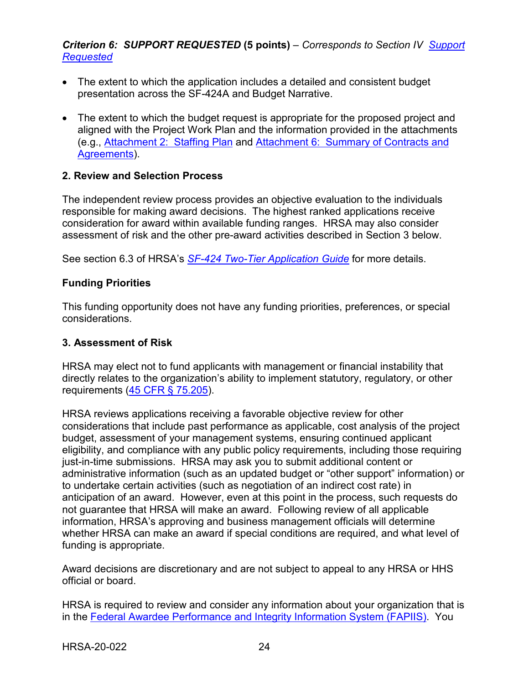### <span id="page-27-2"></span>*Criterion 6: SUPPORT REQUESTED* **(5 points)** *– Corresponds to Section IV [Support](#page-17-2)  [Requested](#page-17-2)*

- The extent to which the application includes a detailed and consistent budget presentation across the SF-424A and Budget Narrative.
- The extent to which the budget request is appropriate for the proposed project and aligned with the Project Work Plan and the information provided in the attachments (e.g., [Attachment](#page-19-4) 2: Staffing Plan and [Attachment 6: Summary](#page-20-3) of Contracts and Agreements).

#### <span id="page-27-0"></span>**2. Review and Selection Process**

The independent review process provides an objective evaluation to the individuals responsible for making award decisions. The highest ranked applications receive consideration for award within available funding ranges. HRSA may also consider assessment of risk and the other pre-award activities described in Section 3 below.

See section 6.3 of HRSA's *SF-424 [Two-Tier Application Guide](http://www.hrsa.gov/grants/apply/applicationguide/sf424programspecificappguide.pdf)* for more details.

#### **Funding Priorities**

This funding opportunity does not have any funding priorities, preferences, or special considerations.

#### <span id="page-27-1"></span>**3. Assessment of Risk**

HRSA may elect not to fund applicants with management or financial instability that directly relates to the organization's ability to implement statutory, regulatory, or other requirements [\(45 CFR § 75.205\)](https://www.ecfr.gov/cgi-bin/retrieveECFR?gp=1&SID=4d52364ec83fab994c665943dadf9cf7&ty=HTML&h=L&r=PART&n=pt45.1.75).

HRSA reviews applications receiving a favorable objective review for other considerations that include past performance as applicable, cost analysis of the project budget, assessment of your management systems, ensuring continued applicant eligibility, and compliance with any public policy requirements, including those requiring just-in-time submissions. HRSA may ask you to submit additional content or administrative information (such as an updated budget or "other support" information) or to undertake certain activities (such as negotiation of an indirect cost rate) in anticipation of an award. However, even at this point in the process, such requests do not guarantee that HRSA will make an award. Following review of all applicable information, HRSA's approving and business management officials will determine whether HRSA can make an award if special conditions are required, and what level of funding is appropriate.

Award decisions are discretionary and are not subject to appeal to any HRSA or HHS official or board.

HRSA is required to review and consider any information about your organization that is in the [Federal Awardee Performance and Integrity Information System \(FAPIIS\).](https://www.fapiis.gov/) You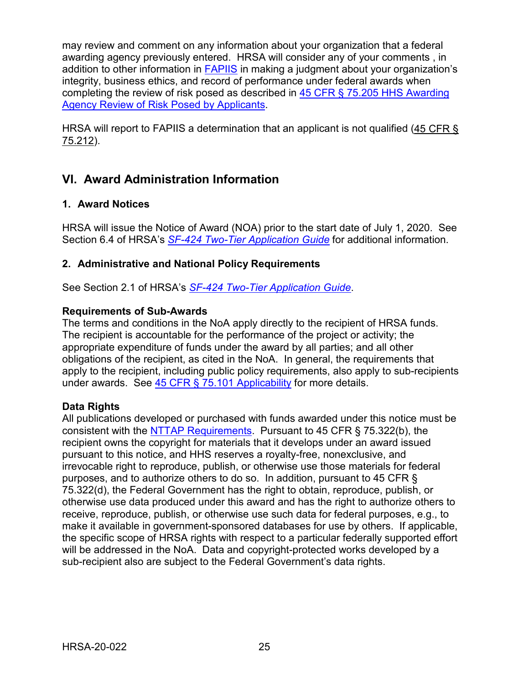may review and comment on any information about your organization that a federal awarding agency previously entered. HRSA will consider any of your comments , in addition to other information in **FAPIIS** in making a judgment about your organization's integrity, business ethics, and record of performance under federal awards when completing the review of risk posed as described in [45 CFR § 75.205 HHS Awarding](https://www.ecfr.gov/cgi-bin/retrieveECFR?gp=1&SID=4d52364ec83fab994c665943dadf9cf7&ty=HTML&h=L&r=PART&n=pt45.1.75)  [Agency Review of Risk Posed by Applicants.](https://www.ecfr.gov/cgi-bin/retrieveECFR?gp=1&SID=4d52364ec83fab994c665943dadf9cf7&ty=HTML&h=L&r=PART&n=pt45.1.75)

HRSA will report to FAPIIS a determination that an applicant is not qualified [\(45 CFR §](https://www.ecfr.gov/cgi-bin/retrieveECFR?gp=1&SID=4d52364ec83fab994c665943dadf9cf7&ty=HTML&h=L&r=PART&n=pt45.1.75)  [75.212\)](https://www.ecfr.gov/cgi-bin/retrieveECFR?gp=1&SID=4d52364ec83fab994c665943dadf9cf7&ty=HTML&h=L&r=PART&n=pt45.1.75).

# <span id="page-28-0"></span>**VI. Award Administration Information**

### <span id="page-28-1"></span>**1. Award Notices**

HRSA will issue the Notice of Award (NOA) prior to the start date of July 1, 2020. See Section 6.4 of HRSA's *SF-424 [Two-Tier Application Guide](http://www.hrsa.gov/grants/apply/applicationguide/sf424programspecificappguide.pdf)* for additional information.

## <span id="page-28-2"></span>**2. Administrative and National Policy Requirements**

See Section 2.1 of HRSA's *SF-424 [Two-Tier Application Guide](http://www.hrsa.gov/grants/apply/applicationguide/sf424programspecificappguide.pdf)*.

#### **Requirements of Sub-Awards**

The terms and conditions in the NoA apply directly to the recipient of HRSA funds. The recipient is accountable for the performance of the project or activity; the appropriate expenditure of funds under the award by all parties; and all other obligations of the recipient, as cited in the NoA. In general, the requirements that apply to the recipient, including public policy requirements, also apply to sub-recipients under awards. See [45 CFR § 75.101 Applicability](https://www.ecfr.gov/cgi-bin/retrieveECFR?gp=1&SID=4d52364ec83fab994c665943dadf9cf7&ty=HTML&h=L&r=PART&n=pt45.1.75) for more details.

### **Data Rights**

All publications developed or purchased with funds awarded under this notice must be consistent with the NTTAP [Requirements.](#page-6-0) Pursuant to 45 CFR § 75.322(b), the recipient owns the copyright for materials that it develops under an award issued pursuant to this notice, and HHS reserves a royalty-free, nonexclusive, and irrevocable right to reproduce, publish, or otherwise use those materials for federal purposes, and to authorize others to do so. In addition, pursuant to 45 CFR § 75.322(d), the Federal Government has the right to obtain, reproduce, publish, or otherwise use data produced under this award and has the right to authorize others to receive, reproduce, publish, or otherwise use such data for federal purposes, e.g., to make it available in government-sponsored databases for use by others. If applicable, the specific scope of HRSA rights with respect to a particular federally supported effort will be addressed in the NoA. Data and copyright-protected works developed by a sub-recipient also are subject to the Federal Government's data rights.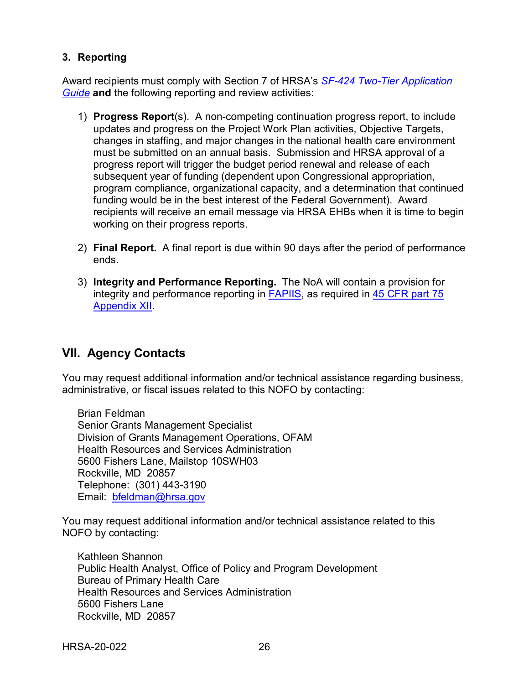#### <span id="page-29-0"></span>**3. Reporting**

Award recipients must comply with Section 7 of HRSA's *SF-424 [Two-Tier Application](http://www.hrsa.gov/grants/apply/applicationguide/sf424programspecificappguide.pdf)  [Guide](http://www.hrsa.gov/grants/apply/applicationguide/sf424programspecificappguide.pdf)* **and** the following reporting and review activities:

- 1) **Progress Report**(s). A non-competing continuation progress report, to include updates and progress on the Project Work Plan activities, Objective Targets, changes in staffing, and major changes in the national health care environment must be submitted on an annual basis. Submission and HRSA approval of a progress report will trigger the budget period renewal and release of each subsequent year of funding (dependent upon Congressional appropriation, program compliance, organizational capacity, and a determination that continued funding would be in the best interest of the Federal Government). Award recipients will receive an email message via HRSA EHBs when it is time to begin working on their progress reports.
- 2) **Final Report.** A final report is due within 90 days after the period of performance ends.
- 3) **Integrity and Performance Reporting.** The NoA will contain a provision for integrity and performance reporting in [FAPIIS,](https://www.fapiis.gov/) as required in [45 CFR part 75](https://www.ecfr.gov/cgi-bin/retrieveECFR?gp=1&SID=4d52364ec83fab994c665943dadf9cf7&ty=HTML&h=L&r=PART&n=pt45.1.75)  [Appendix XII.](https://www.ecfr.gov/cgi-bin/retrieveECFR?gp=1&SID=4d52364ec83fab994c665943dadf9cf7&ty=HTML&h=L&r=PART&n=pt45.1.75)

# <span id="page-29-1"></span>**VII. Agency Contacts**

You may request additional information and/or technical assistance regarding business, administrative, or fiscal issues related to this NOFO by contacting:

Brian Feldman Senior Grants Management Specialist Division of Grants Management Operations, OFAM Health Resources and Services Administration 5600 Fishers Lane, Mailstop 10SWH03 Rockville, MD 20857 Telephone: (301) 443-3190 Email: [bfeldman@hrsa.gov](mailto:bfeldman@hrsa.gov)

You may request additional information and/or technical assistance related to this NOFO by contacting:

Kathleen Shannon Public Health Analyst, Office of Policy and Program Development Bureau of Primary Health Care Health Resources and Services Administration 5600 Fishers Lane Rockville, MD 20857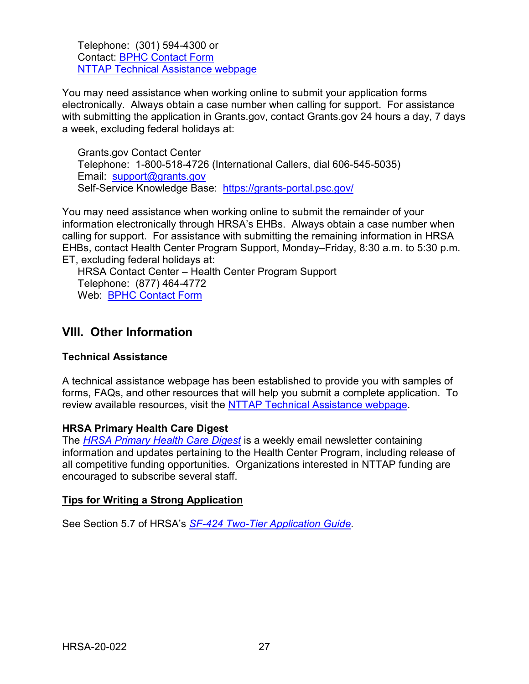Telephone: (301) 594-4300 or Contact: [BPHC Contact Form](https://bphccommunications.secure.force.com/ContactBPHC/BPHC_Contact_Form) [NTTAP Technical Assistance webpage](https://bphc.hrsa.gov/program-opportunities/funding-opportunities/nttap)

You may need assistance when working online to submit your application forms electronically. Always obtain a case number when calling for support. For assistance with submitting the application in Grants.gov, contact Grants.gov 24 hours a day, 7 days a week, excluding federal holidays at:

Grants.gov Contact Center Telephone: 1-800-518-4726 (International Callers, dial 606-545-5035) Email: [support@grants.gov](mailto:support@grants.gov) Self-Service Knowledge Base: <https://grants-portal.psc.gov/>

You may need assistance when working online to submit the remainder of your information electronically through HRSA's EHBs. Always obtain a case number when calling for support. For assistance with submitting the remaining information in HRSA EHBs, contact Health Center Program Support, Monday–Friday, 8:30 a.m. to 5:30 p.m. ET, excluding federal holidays at:

HRSA Contact Center – Health Center Program Support Telephone: (877) 464-4772 Web: [BPHC Contact Form](https://bphccommunications.secure.force.com/ContactBPHC/BPHC_Contact_Form)

## <span id="page-30-0"></span>**VIII. Other Information**

### **Technical Assistance**

A technical assistance webpage has been established to provide you with samples of forms, FAQs, and other resources that will help you submit a complete application. To review available resources, visit the [NTTAP Technical Assistance](http://bphc.hrsa.gov/programopportunities/fundingopportunities/NCA/index.html) webpage.

#### **HRSA Primary Health Care Digest**

The *[HRSA Primary Health Care Digest](https://bphc.hrsa.gov/phc-digest.html)* is a weekly email newsletter containing information and updates pertaining to the Health Center Program, including release of all competitive funding opportunities. Organizations interested in NTTAP funding are encouraged to subscribe several staff.

#### **Tips for Writing a Strong Application**

See Section 5.7 of HRSA's *SF-424 [Two-Tier Application Guide.](http://www.hrsa.gov/grants/apply/applicationguide/sf424programspecificappguide.pdf)*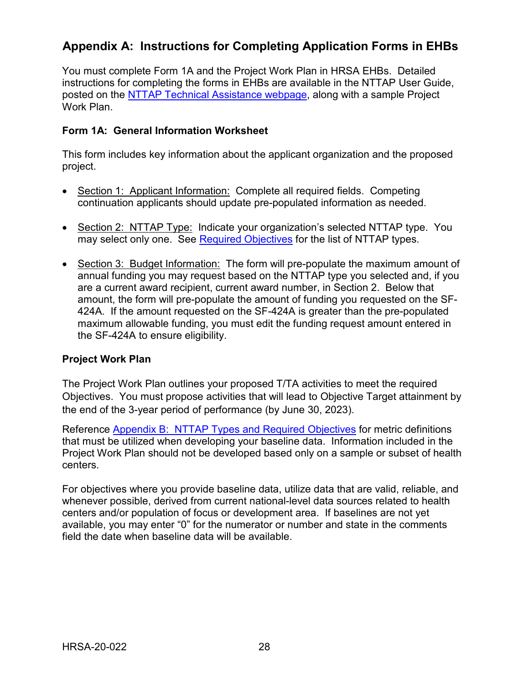# <span id="page-31-0"></span>**Appendix A: Instructions for Completing Application Forms in EHBs**

You must complete Form 1A and the Project Work Plan in HRSA EHBs. Detailed instructions for completing the forms in EHBs are available in the NTTAP User Guide, posted on the [NTTAP Technical Assistance webpage,](https://bphc.hrsa.gov/program-opportunities/funding-opportunities/nttap) along with a sample Project Work Plan.

#### **Form 1A: General Information Worksheet**

This form includes key information about the applicant organization and the proposed project.

- Section 1: Applicant Information: Complete all required fields. Competing continuation applicants should update pre-populated information as needed.
- Section 2: NTTAP Type: Indicate your organization's selected NTTAP type. You may select only one. See Required Objectives for the list of NTTAP types.
- Section 3: Budget Information: The form will pre-populate the maximum amount of annual funding you may request based on the NTTAP type you selected and, if you are a current award recipient, current award number, in Section 2. Below that amount, the form will pre-populate the amount of funding you requested on the SF-424A. If the amount requested on the SF-424A is greater than the pre-populated maximum allowable funding, you must edit the funding request amount entered in the SF-424A to ensure eligibility.

### **Project Work Plan**

The Project Work Plan outlines your proposed T/TA activities to meet the required Objectives. You must propose activities that will lead to Objective Target attainment by the end of the 3-year period of performance (by June 30, 2023).

Reference Appendix [B: NTTAP](#page-33-0) Types and Required Objectives for metric definitions that must be utilized when developing your baseline data. Information included in the Project Work Plan should not be developed based only on a sample or subset of health centers.

For objectives where you provide baseline data, utilize data that are valid, reliable, and whenever possible, derived from current national-level data sources related to health centers and/or population of focus or development area. If baselines are not yet available, you may enter "0" for the numerator or number and state in the comments field the date when baseline data will be available.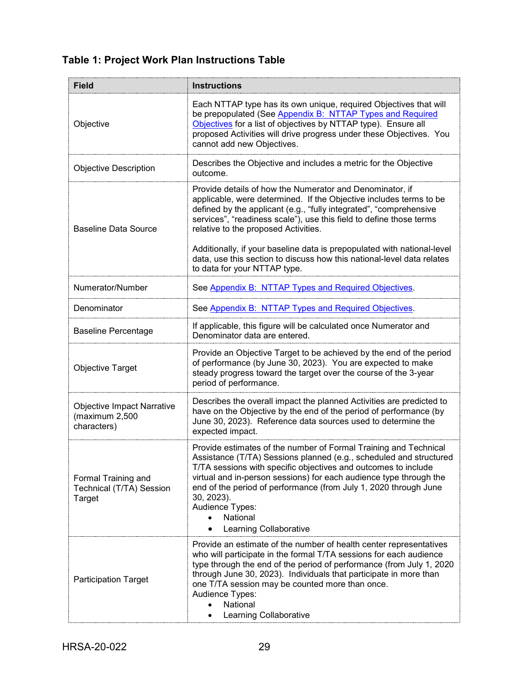# **Table 1: Project Work Plan Instructions Table**

| <b>Field</b>                                                       | <b>Instructions</b>                                                                                                                                                                                                                                                                                                                                                                                                       |
|--------------------------------------------------------------------|---------------------------------------------------------------------------------------------------------------------------------------------------------------------------------------------------------------------------------------------------------------------------------------------------------------------------------------------------------------------------------------------------------------------------|
| Objective                                                          | Each NTTAP type has its own unique, required Objectives that will<br>be prepopulated (See Appendix B: NTTAP Types and Required<br>Objectives for a list of objectives by NTTAP type). Ensure all<br>proposed Activities will drive progress under these Objectives. You<br>cannot add new Objectives.                                                                                                                     |
| <b>Objective Description</b>                                       | Describes the Objective and includes a metric for the Objective<br>outcome.                                                                                                                                                                                                                                                                                                                                               |
| <b>Baseline Data Source</b>                                        | Provide details of how the Numerator and Denominator, if<br>applicable, were determined. If the Objective includes terms to be<br>defined by the applicant (e.g., "fully integrated", "comprehensive<br>services", "readiness scale"), use this field to define those terms<br>relative to the proposed Activities.                                                                                                       |
|                                                                    | Additionally, if your baseline data is prepopulated with national-level<br>data, use this section to discuss how this national-level data relates<br>to data for your NTTAP type.                                                                                                                                                                                                                                         |
| Numerator/Number                                                   | See Appendix B: NTTAP Types and Required Objectives.                                                                                                                                                                                                                                                                                                                                                                      |
| Denominator                                                        | See Appendix B: NTTAP Types and Required Objectives.                                                                                                                                                                                                                                                                                                                                                                      |
| <b>Baseline Percentage</b>                                         | If applicable, this figure will be calculated once Numerator and<br>Denominator data are entered.                                                                                                                                                                                                                                                                                                                         |
| <b>Objective Target</b>                                            | Provide an Objective Target to be achieved by the end of the period<br>of performance (by June 30, 2023). You are expected to make<br>steady progress toward the target over the course of the 3-year<br>period of performance.                                                                                                                                                                                           |
| <b>Objective Impact Narrative</b><br>(maximum 2,500<br>characters) | Describes the overall impact the planned Activities are predicted to<br>have on the Objective by the end of the period of performance (by<br>June 30, 2023). Reference data sources used to determine the<br>expected impact.                                                                                                                                                                                             |
| Formal Training and<br>Technical (T/TA) Session<br>Target          | Provide estimates of the number of Formal Training and Technical<br>Assistance (T/TA) Sessions planned (e.g., scheduled and structured<br>T/TA sessions with specific objectives and outcomes to include<br>virtual and in-person sessions) for each audience type through the<br>end of the period of performance (from July 1, 2020 through June<br>30, 2023).<br>Audience Types:<br>National<br>Learning Collaborative |
| <b>Participation Target</b>                                        | Provide an estimate of the number of health center representatives<br>who will participate in the formal T/TA sessions for each audience<br>type through the end of the period of performance (from July 1, 2020<br>through June 30, 2023). Individuals that participate in more than<br>one T/TA session may be counted more than once.<br>Audience Types:<br>National<br>Learning Collaborative                         |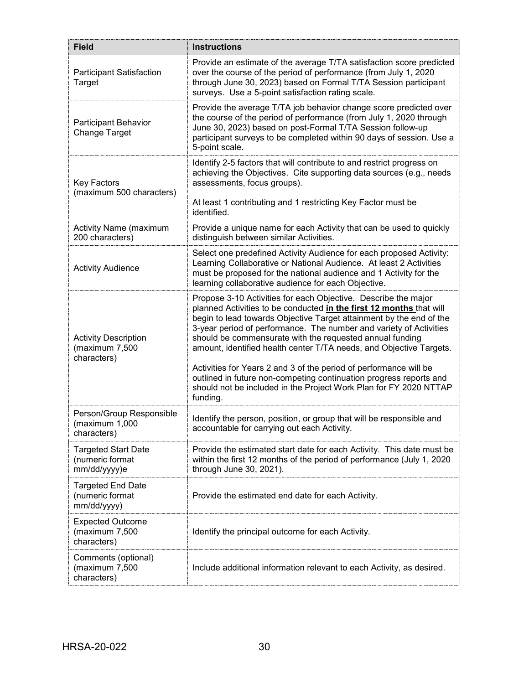<span id="page-33-0"></span>

| <b>Field</b>                                                  | <b>Instructions</b>                                                                                                                                                                                                                                                                                                                                                                                                                                                                                                                                                                                                                               |
|---------------------------------------------------------------|---------------------------------------------------------------------------------------------------------------------------------------------------------------------------------------------------------------------------------------------------------------------------------------------------------------------------------------------------------------------------------------------------------------------------------------------------------------------------------------------------------------------------------------------------------------------------------------------------------------------------------------------------|
| Participant Satisfaction<br>Target                            | Provide an estimate of the average T/TA satisfaction score predicted<br>over the course of the period of performance (from July 1, 2020<br>through June 30, 2023) based on Formal T/TA Session participant<br>surveys. Use a 5-point satisfaction rating scale.                                                                                                                                                                                                                                                                                                                                                                                   |
| <b>Participant Behavior</b><br>Change Target                  | Provide the average T/TA job behavior change score predicted over<br>the course of the period of performance (from July 1, 2020 through<br>June 30, 2023) based on post-Formal T/TA Session follow-up<br>participant surveys to be completed within 90 days of session. Use a<br>5-point scale.                                                                                                                                                                                                                                                                                                                                                   |
| Key Factors<br>(maximum 500 characters)                       | Identify 2-5 factors that will contribute to and restrict progress on<br>achieving the Objectives. Cite supporting data sources (e.g., needs<br>assessments, focus groups).<br>At least 1 contributing and 1 restricting Key Factor must be<br>identified.                                                                                                                                                                                                                                                                                                                                                                                        |
| <b>Activity Name (maximum</b><br>200 characters)              | Provide a unique name for each Activity that can be used to quickly<br>distinguish between similar Activities.                                                                                                                                                                                                                                                                                                                                                                                                                                                                                                                                    |
| <b>Activity Audience</b>                                      | Select one predefined Activity Audience for each proposed Activity:<br>Learning Collaborative or National Audience. At least 2 Activities<br>must be proposed for the national audience and 1 Activity for the<br>learning collaborative audience for each Objective.                                                                                                                                                                                                                                                                                                                                                                             |
| <b>Activity Description</b><br>(maximum 7,500<br>characters)  | Propose 3-10 Activities for each Objective. Describe the major<br>planned Activities to be conducted in the first 12 months that will<br>begin to lead towards Objective Target attainment by the end of the<br>3-year period of performance. The number and variety of Activities<br>should be commensurate with the requested annual funding<br>amount, identified health center T/TA needs, and Objective Targets.<br>Activities for Years 2 and 3 of the period of performance will be<br>outlined in future non-competing continuation progress reports and<br>should not be included in the Project Work Plan for FY 2020 NTTAP<br>funding. |
| Person/Group Responsible<br>(maximum 1,000<br>characters)     | Identify the person, position, or group that will be responsible and<br>accountable for carrying out each Activity.                                                                                                                                                                                                                                                                                                                                                                                                                                                                                                                               |
| <b>Targeted Start Date</b><br>(numeric format<br>mm/dd/yyyy)e | Provide the estimated start date for each Activity. This date must be<br>within the first 12 months of the period of performance (July 1, 2020<br>through June 30, 2021).                                                                                                                                                                                                                                                                                                                                                                                                                                                                         |
| <b>Targeted End Date</b><br>(numeric format<br>mm/dd/yyyy)    | Provide the estimated end date for each Activity.                                                                                                                                                                                                                                                                                                                                                                                                                                                                                                                                                                                                 |
| <b>Expected Outcome</b><br>(maximum 7,500<br>characters)      | Identify the principal outcome for each Activity.                                                                                                                                                                                                                                                                                                                                                                                                                                                                                                                                                                                                 |
| Comments (optional)<br>(maximum 7,500<br>characters)          | Include additional information relevant to each Activity, as desired.                                                                                                                                                                                                                                                                                                                                                                                                                                                                                                                                                                             |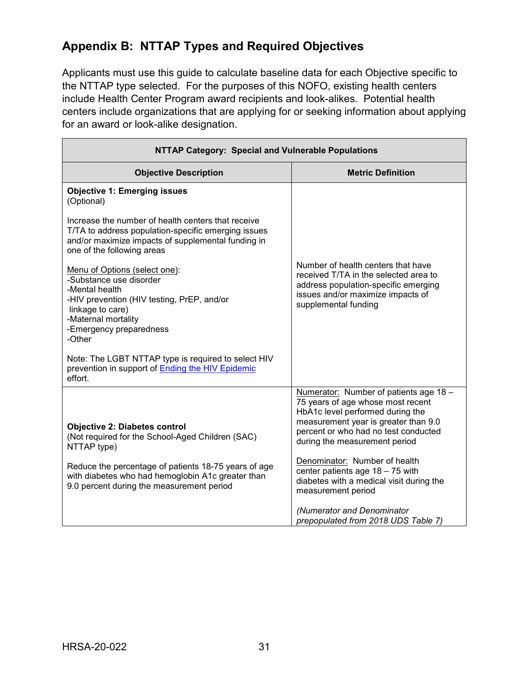# **Appendix B: NTTAP Types and Required Objectives**

Applicants must use this guide to calculate baseline data for each Objective specific to the NTTAP type selected. For the purposes of this NOFO, existing health centers include Health Center Program award recipients and look-alikes. Potential health centers include organizations that are applying for or seeking information about applying for an award or look-alike designation.

| NTTAP Category: Special and Vulnerable Populations                                                                                                                                                       |                                                                                                                                                                                  |  |
|----------------------------------------------------------------------------------------------------------------------------------------------------------------------------------------------------------|----------------------------------------------------------------------------------------------------------------------------------------------------------------------------------|--|
| <b>Objective Description</b>                                                                                                                                                                             | <b>Metric Definition</b>                                                                                                                                                         |  |
| <b>Objective 1: Emerging issues</b><br>(Optional)                                                                                                                                                        |                                                                                                                                                                                  |  |
| Increase the number of health centers that receive<br>T/TA to address population-specific emerging issues<br>and/or maximize impacts of supplemental funding in<br>one of the following areas            |                                                                                                                                                                                  |  |
| Menu of Options (select one):<br>-Substance use disorder<br>-Mental health<br>-HIV prevention (HIV testing, PrEP, and/or<br>linkage to care)<br>-Maternal mortality<br>-Emergency preparedness<br>-Other | Number of health centers that have<br>received T/TA in the selected area to<br>address population-specific emerging<br>issues and/or maximize impacts of<br>supplemental funding |  |
| Note: The LGBT NTTAP type is required to select HIV<br>prevention in support of Ending the HIV Epidemic<br>effort.                                                                                       |                                                                                                                                                                                  |  |
|                                                                                                                                                                                                          | Numerator: Number of patients age 18 -<br>75 years of age whose most recent<br>HbA1c level performed during the                                                                  |  |
| <b>Objective 2: Diabetes control</b><br>(Not required for the School-Aged Children (SAC)<br>NTTAP type)                                                                                                  | measurement year is greater than 9.0<br>percent or who had no test conducted<br>during the measurement period                                                                    |  |
| Reduce the percentage of patients 18-75 years of age<br>with diabetes who had hemoglobin A1c greater than<br>9.0 percent during the measurement period                                                   | Denominator: Number of health<br>center patients age $18 - 75$ with<br>diabetes with a medical visit during the<br>measurement period                                            |  |
|                                                                                                                                                                                                          | (Numerator and Denominator<br>prepopulated from 2018 UDS Table 7)                                                                                                                |  |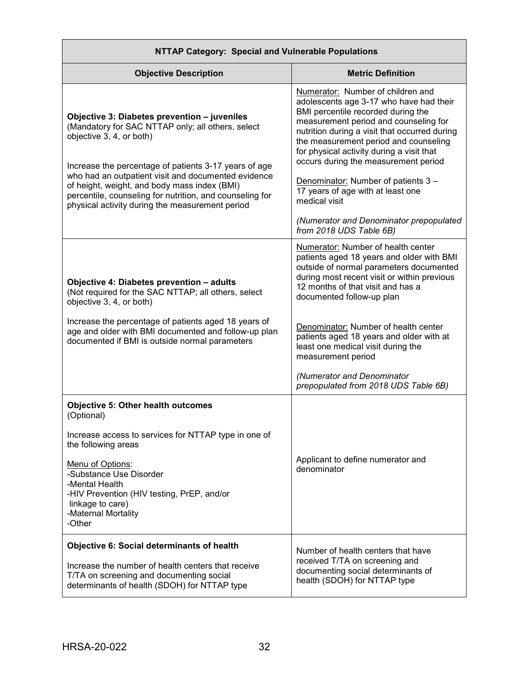| NTTAF Calegory. Opecial and vullierable Fopulations                                                                                                                                                                                                                                                                                                                                                          |                                                                                                                                                                                                                                                                                                                                                                                                                                                                                                               |  |
|--------------------------------------------------------------------------------------------------------------------------------------------------------------------------------------------------------------------------------------------------------------------------------------------------------------------------------------------------------------------------------------------------------------|---------------------------------------------------------------------------------------------------------------------------------------------------------------------------------------------------------------------------------------------------------------------------------------------------------------------------------------------------------------------------------------------------------------------------------------------------------------------------------------------------------------|--|
| <b>Objective Description</b>                                                                                                                                                                                                                                                                                                                                                                                 | <b>Metric Definition</b>                                                                                                                                                                                                                                                                                                                                                                                                                                                                                      |  |
| Objective 3: Diabetes prevention - juveniles<br>(Mandatory for SAC NTTAP only; all others, select<br>objective 3, 4, or both)<br>Increase the percentage of patients 3-17 years of age<br>who had an outpatient visit and documented evidence<br>of height, weight, and body mass index (BMI)<br>percentile, counseling for nutrition, and counseling for<br>physical activity during the measurement period | Numerator: Number of children and<br>adolescents age 3-17 who have had their<br>BMI percentile recorded during the<br>measurement period and counseling for<br>nutrition during a visit that occurred during<br>the measurement period and counseling<br>for physical activity during a visit that<br>occurs during the measurement period<br>Denominator: Number of patients 3 -<br>17 years of age with at least one<br>medical visit<br>(Numerator and Denominator prepopulated<br>from 2018 UDS Table 6B) |  |
| Objective 4: Diabetes prevention - adults<br>(Not required for the SAC NTTAP; all others, select<br>objective 3, 4, or both)                                                                                                                                                                                                                                                                                 | Numerator: Number of health center<br>patients aged 18 years and older with BMI<br>outside of normal parameters documented<br>during most recent visit or within previous<br>12 months of that visit and has a<br>documented follow-up plan                                                                                                                                                                                                                                                                   |  |
| Increase the percentage of patients aged 18 years of<br>age and older with BMI documented and follow-up plan<br>documented if BMI is outside normal parameters                                                                                                                                                                                                                                               | Denominator: Number of health center<br>patients aged 18 years and older with at<br>least one medical visit during the<br>measurement period                                                                                                                                                                                                                                                                                                                                                                  |  |
|                                                                                                                                                                                                                                                                                                                                                                                                              | (Numerator and Denominator<br>prepopulated from 2018 UDS Table 6B)                                                                                                                                                                                                                                                                                                                                                                                                                                            |  |
| <b>Objective 5: Other health outcomes</b><br>(Optional)<br>Increase access to services for NTTAP type in one of<br>the following areas<br>Menu of Options:<br>-Substance Use Disorder<br>-Mental Health<br>-HIV Prevention (HIV testing, PrEP, and/or<br>linkage to care)<br>-Maternal Mortality<br>-Other                                                                                                   | Applicant to define numerator and<br>denominator                                                                                                                                                                                                                                                                                                                                                                                                                                                              |  |
| <b>Objective 6: Social determinants of health</b><br>Increase the number of health centers that receive<br>T/TA on screening and documenting social<br>determinants of health (SDOH) for NTTAP type                                                                                                                                                                                                          | Number of health centers that have<br>received T/TA on screening and<br>documenting social determinants of<br>health (SDOH) for NTTAP type                                                                                                                                                                                                                                                                                                                                                                    |  |

#### **NTTAP Category: Special and Vulnerable Populations**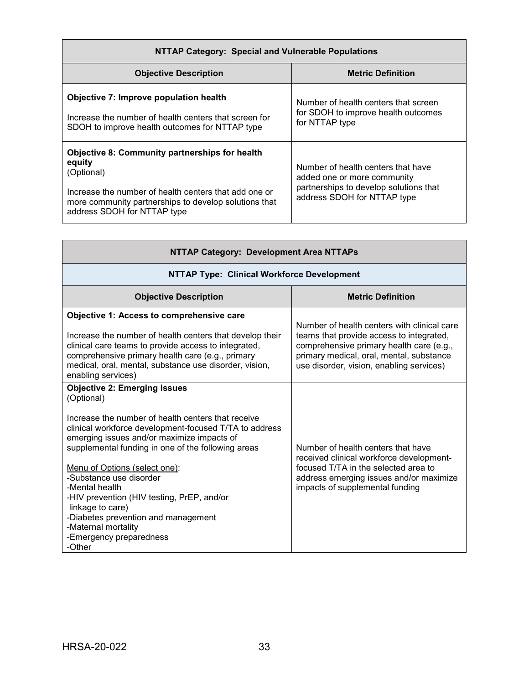| NTTAP Category: Special and Vulnerable Populations                                                                                                                                                                             |                                                                                                                                            |  |
|--------------------------------------------------------------------------------------------------------------------------------------------------------------------------------------------------------------------------------|--------------------------------------------------------------------------------------------------------------------------------------------|--|
| <b>Objective Description</b>                                                                                                                                                                                                   | <b>Metric Definition</b>                                                                                                                   |  |
| Objective 7: Improve population health<br>Increase the number of health centers that screen for<br>SDOH to improve health outcomes for NTTAP type                                                                              | Number of health centers that screen<br>for SDOH to improve health outcomes<br>for NTTAP type                                              |  |
| <b>Objective 8: Community partnerships for health</b><br>equity<br>(Optional)<br>Increase the number of health centers that add one or<br>more community partnerships to develop solutions that<br>address SDOH for NTTAP type | Number of health centers that have<br>added one or more community<br>partnerships to develop solutions that<br>address SDOH for NTTAP type |  |

| NTTAP Category: Development Area NTTAPs                                                                                                                                                                                                                                                                                                                                                                                                                                                                                  |                                                                                                                                                                                                                             |  |
|--------------------------------------------------------------------------------------------------------------------------------------------------------------------------------------------------------------------------------------------------------------------------------------------------------------------------------------------------------------------------------------------------------------------------------------------------------------------------------------------------------------------------|-----------------------------------------------------------------------------------------------------------------------------------------------------------------------------------------------------------------------------|--|
| <b>NTTAP Type: Clinical Workforce Development</b>                                                                                                                                                                                                                                                                                                                                                                                                                                                                        |                                                                                                                                                                                                                             |  |
| <b>Objective Description</b>                                                                                                                                                                                                                                                                                                                                                                                                                                                                                             | <b>Metric Definition</b>                                                                                                                                                                                                    |  |
| Objective 1: Access to comprehensive care<br>Increase the number of health centers that develop their<br>clinical care teams to provide access to integrated,<br>comprehensive primary health care (e.g., primary<br>medical, oral, mental, substance use disorder, vision,<br>enabling services)                                                                                                                                                                                                                        | Number of health centers with clinical care<br>teams that provide access to integrated,<br>comprehensive primary health care (e.g.,<br>primary medical, oral, mental, substance<br>use disorder, vision, enabling services) |  |
| <b>Objective 2: Emerging issues</b><br>(Optional)<br>Increase the number of health centers that receive<br>clinical workforce development-focused T/TA to address<br>emerging issues and/or maximize impacts of<br>supplemental funding in one of the following areas<br>Menu of Options (select one):<br>-Substance use disorder<br>-Mental health<br>-HIV prevention (HIV testing, PrEP, and/or<br>linkage to care)<br>-Diabetes prevention and management<br>-Maternal mortality<br>-Emergency preparedness<br>-Other | Number of health centers that have<br>received clinical workforce development-<br>focused T/TA in the selected area to<br>address emerging issues and/or maximize<br>impacts of supplemental funding                        |  |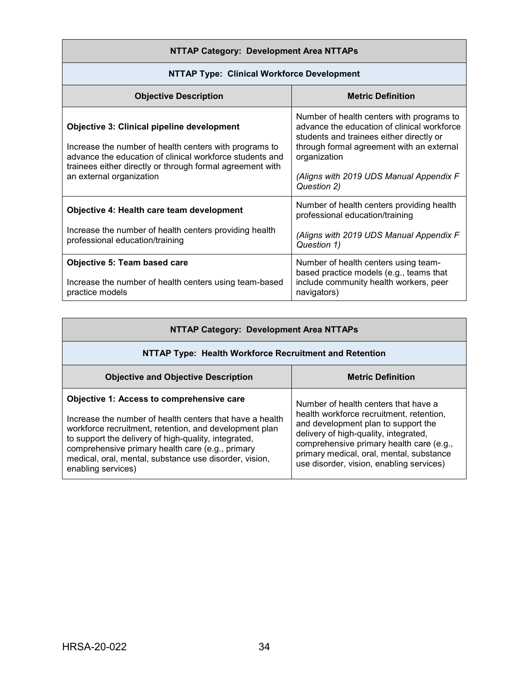## **NTTAP Category: Development Area NTTAPs**

| <b>NTTAP Type: Clinical Workforce Development</b>                                                                                                                                                                                                                |                                                                                                                                                                                                                                                             |  |
|------------------------------------------------------------------------------------------------------------------------------------------------------------------------------------------------------------------------------------------------------------------|-------------------------------------------------------------------------------------------------------------------------------------------------------------------------------------------------------------------------------------------------------------|--|
| <b>Objective Description</b>                                                                                                                                                                                                                                     | <b>Metric Definition</b>                                                                                                                                                                                                                                    |  |
| <b>Objective 3: Clinical pipeline development</b><br>Increase the number of health centers with programs to<br>advance the education of clinical workforce students and<br>trainees either directly or through formal agreement with<br>an external organization | Number of health centers with programs to<br>advance the education of clinical workforce<br>students and trainees either directly or<br>through formal agreement with an external<br>organization<br>(Aligns with 2019 UDS Manual Appendix F<br>Question 2) |  |
| Objective 4: Health care team development                                                                                                                                                                                                                        | Number of health centers providing health<br>professional education/training                                                                                                                                                                                |  |
| Increase the number of health centers providing health<br>professional education/training                                                                                                                                                                        | (Aligns with 2019 UDS Manual Appendix F<br>Question 1)                                                                                                                                                                                                      |  |
| Objective 5: Team based care                                                                                                                                                                                                                                     | Number of health centers using team-<br>based practice models (e.g., teams that                                                                                                                                                                             |  |
| Increase the number of health centers using team-based<br>practice models                                                                                                                                                                                        | include community health workers, peer<br>navigators)                                                                                                                                                                                                       |  |

| <b>NTTAP Category: Development Area NTTAPs</b>                                                                                                                                                                                                                                                                                                                     |                                                                                                                                                                                                                                                                                                      |  |
|--------------------------------------------------------------------------------------------------------------------------------------------------------------------------------------------------------------------------------------------------------------------------------------------------------------------------------------------------------------------|------------------------------------------------------------------------------------------------------------------------------------------------------------------------------------------------------------------------------------------------------------------------------------------------------|--|
| NTTAP Type: Health Workforce Recruitment and Retention                                                                                                                                                                                                                                                                                                             |                                                                                                                                                                                                                                                                                                      |  |
| <b>Objective and Objective Description</b>                                                                                                                                                                                                                                                                                                                         | <b>Metric Definition</b>                                                                                                                                                                                                                                                                             |  |
| <b>Objective 1: Access to comprehensive care</b><br>Increase the number of health centers that have a health<br>workforce recruitment, retention, and development plan<br>to support the delivery of high-quality, integrated,<br>comprehensive primary health care (e.g., primary<br>medical, oral, mental, substance use disorder, vision,<br>enabling services) | Number of health centers that have a<br>health workforce recruitment, retention,<br>and development plan to support the<br>delivery of high-quality, integrated,<br>comprehensive primary health care (e.g.,<br>primary medical, oral, mental, substance<br>use disorder, vision, enabling services) |  |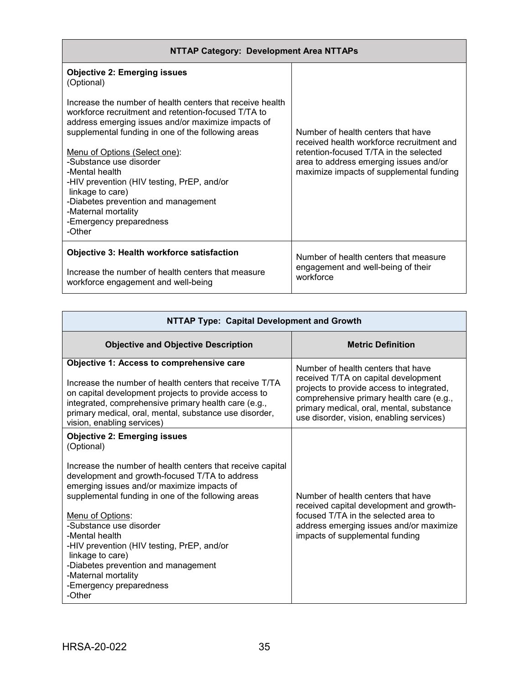| NTTAP Category: Development Area NTTAPs                                                                                                                                                                                                                                                                                                                                                                                                                                                                                              |                                                                                                                                                                                                                 |  |
|--------------------------------------------------------------------------------------------------------------------------------------------------------------------------------------------------------------------------------------------------------------------------------------------------------------------------------------------------------------------------------------------------------------------------------------------------------------------------------------------------------------------------------------|-----------------------------------------------------------------------------------------------------------------------------------------------------------------------------------------------------------------|--|
| <b>Objective 2: Emerging issues</b><br>(Optional)<br>Increase the number of health centers that receive health<br>workforce recruitment and retention-focused T/TA to<br>address emerging issues and/or maximize impacts of<br>supplemental funding in one of the following areas<br>Menu of Options (Select one):<br>-Substance use disorder<br>-Mental health<br>-HIV prevention (HIV testing, PrEP, and/or<br>linkage to care)<br>-Diabetes prevention and management<br>-Maternal mortality<br>-Emergency preparedness<br>-Other | Number of health centers that have<br>received health workforce recruitment and<br>retention-focused T/TA in the selected<br>area to address emerging issues and/or<br>maximize impacts of supplemental funding |  |
| <b>Objective 3: Health workforce satisfaction</b><br>Increase the number of health centers that measure<br>workforce engagement and well-being                                                                                                                                                                                                                                                                                                                                                                                       | Number of health centers that measure<br>engagement and well-being of their<br>workforce                                                                                                                        |  |

| NTTAP Type: Capital Development and Growth                                                                                                                                                                                                                                                                                                                                                                                                                                                                  |                                                                                                                                                                                                                                                             |
|-------------------------------------------------------------------------------------------------------------------------------------------------------------------------------------------------------------------------------------------------------------------------------------------------------------------------------------------------------------------------------------------------------------------------------------------------------------------------------------------------------------|-------------------------------------------------------------------------------------------------------------------------------------------------------------------------------------------------------------------------------------------------------------|
| <b>Objective and Objective Description</b>                                                                                                                                                                                                                                                                                                                                                                                                                                                                  | <b>Metric Definition</b>                                                                                                                                                                                                                                    |
| Objective 1: Access to comprehensive care<br>Increase the number of health centers that receive T/TA<br>on capital development projects to provide access to<br>integrated, comprehensive primary health care (e.g.,<br>primary medical, oral, mental, substance use disorder,<br>vision, enabling services)                                                                                                                                                                                                | Number of health centers that have<br>received T/TA on capital development<br>projects to provide access to integrated,<br>comprehensive primary health care (e.g.,<br>primary medical, oral, mental, substance<br>use disorder, vision, enabling services) |
| <b>Objective 2: Emerging issues</b><br>(Optional)<br>Increase the number of health centers that receive capital<br>development and growth-focused T/TA to address<br>emerging issues and/or maximize impacts of<br>supplemental funding in one of the following areas<br>Menu of Options:<br>-Substance use disorder<br>-Mental health<br>-HIV prevention (HIV testing, PrEP, and/or<br>linkage to care)<br>-Diabetes prevention and management<br>-Maternal mortality<br>-Emergency preparedness<br>-Other | Number of health centers that have<br>received capital development and growth-<br>focused T/TA in the selected area to<br>address emerging issues and/or maximize<br>impacts of supplemental funding                                                        |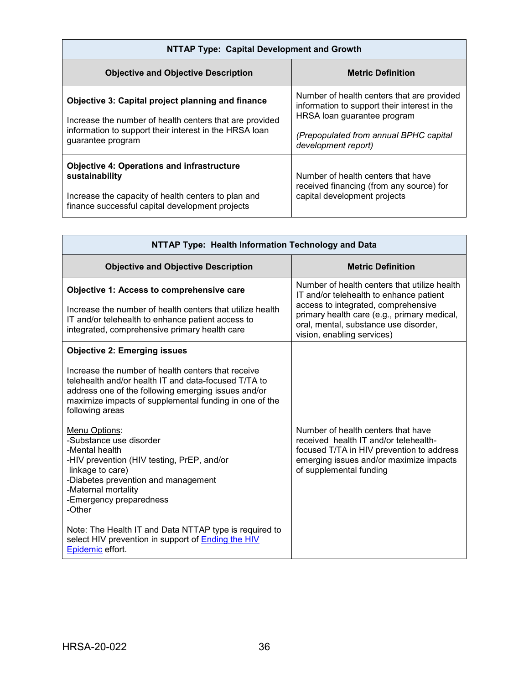| NTTAP Type: Capital Development and Growth                                                                                                                                                  |                                                                                                                                                                                            |  |
|---------------------------------------------------------------------------------------------------------------------------------------------------------------------------------------------|--------------------------------------------------------------------------------------------------------------------------------------------------------------------------------------------|--|
| <b>Objective and Objective Description</b>                                                                                                                                                  | <b>Metric Definition</b>                                                                                                                                                                   |  |
| Objective 3: Capital project planning and finance<br>Increase the number of health centers that are provided<br>information to support their interest in the HRSA loan<br>guarantee program | Number of health centers that are provided<br>information to support their interest in the<br>HRSA loan guarantee program<br>(Prepopulated from annual BPHC capital<br>development report) |  |
| <b>Objective 4: Operations and infrastructure</b><br>sustainability<br>Increase the capacity of health centers to plan and<br>finance successful capital development projects               | Number of health centers that have<br>received financing (from any source) for<br>capital development projects                                                                             |  |

| NTTAP Type: Health Information Technology and Data                                                                                                                                                                                                                                    |                                                                                                                                                                                                                                                      |
|---------------------------------------------------------------------------------------------------------------------------------------------------------------------------------------------------------------------------------------------------------------------------------------|------------------------------------------------------------------------------------------------------------------------------------------------------------------------------------------------------------------------------------------------------|
| <b>Objective and Objective Description</b>                                                                                                                                                                                                                                            | <b>Metric Definition</b>                                                                                                                                                                                                                             |
| <b>Objective 1: Access to comprehensive care</b><br>Increase the number of health centers that utilize health<br>IT and/or telehealth to enhance patient access to<br>integrated, comprehensive primary health care                                                                   | Number of health centers that utilize health<br>IT and/or telehealth to enhance patient<br>access to integrated, comprehensive<br>primary health care (e.g., primary medical,<br>oral, mental, substance use disorder,<br>vision, enabling services) |
| <b>Objective 2: Emerging issues</b><br>Increase the number of health centers that receive<br>telehealth and/or health IT and data-focused T/TA to<br>address one of the following emerging issues and/or<br>maximize impacts of supplemental funding in one of the<br>following areas |                                                                                                                                                                                                                                                      |
| Menu Options:<br>-Substance use disorder<br>-Mental health<br>-HIV prevention (HIV testing, PrEP, and/or<br>linkage to care)<br>-Diabetes prevention and management<br>-Maternal mortality<br>-Emergency preparedness<br>-Other                                                       | Number of health centers that have<br>received health IT and/or telehealth-<br>focused T/TA in HIV prevention to address<br>emerging issues and/or maximize impacts<br>of supplemental funding                                                       |
| Note: The Health IT and Data NTTAP type is required to<br>select HIV prevention in support of Ending the HIV<br>Epidemic effort.                                                                                                                                                      |                                                                                                                                                                                                                                                      |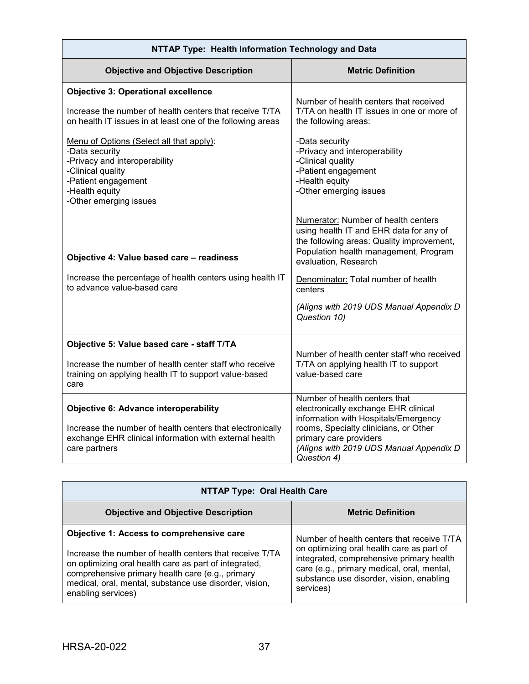| NTTAP Type: Health Information Technology and Data                                                                                                                                                                                                                                                                                                         |                                                                                                                                                                                                                                                                                                           |
|------------------------------------------------------------------------------------------------------------------------------------------------------------------------------------------------------------------------------------------------------------------------------------------------------------------------------------------------------------|-----------------------------------------------------------------------------------------------------------------------------------------------------------------------------------------------------------------------------------------------------------------------------------------------------------|
| <b>Objective and Objective Description</b>                                                                                                                                                                                                                                                                                                                 | <b>Metric Definition</b>                                                                                                                                                                                                                                                                                  |
| <b>Objective 3: Operational excellence</b><br>Increase the number of health centers that receive T/TA<br>on health IT issues in at least one of the following areas<br>Menu of Options (Select all that apply):<br>-Data security<br>-Privacy and interoperability<br>-Clinical quality<br>-Patient engagement<br>-Health equity<br>-Other emerging issues | Number of health centers that received<br>T/TA on health IT issues in one or more of<br>the following areas:<br>-Data security<br>-Privacy and interoperability<br>-Clinical quality<br>-Patient engagement<br>-Health equity<br>-Other emerging issues                                                   |
| Objective 4: Value based care - readiness<br>Increase the percentage of health centers using health IT<br>to advance value-based care                                                                                                                                                                                                                      | Numerator: Number of health centers<br>using health IT and EHR data for any of<br>the following areas: Quality improvement,<br>Population health management, Program<br>evaluation, Research<br>Denominator: Total number of health<br>centers<br>(Aligns with 2019 UDS Manual Appendix D<br>Question 10) |
| Objective 5: Value based care - staff T/TA<br>Increase the number of health center staff who receive<br>training on applying health IT to support value-based<br>care                                                                                                                                                                                      | Number of health center staff who received<br>T/TA on applying health IT to support<br>value-based care                                                                                                                                                                                                   |
| <b>Objective 6: Advance interoperability</b><br>Increase the number of health centers that electronically<br>exchange EHR clinical information with external health<br>care partners                                                                                                                                                                       | Number of health centers that<br>electronically exchange EHR clinical<br>information with Hospitals/Emergency<br>rooms, Specialty clinicians, or Other<br>primary care providers<br>(Aligns with 2019 UDS Manual Appendix D<br>Question 4)                                                                |

| <b>NTTAP Type: Oral Health Care</b>                                                                                                                                                                                                                                                                      |                                                                                                                                                                                                                                            |
|----------------------------------------------------------------------------------------------------------------------------------------------------------------------------------------------------------------------------------------------------------------------------------------------------------|--------------------------------------------------------------------------------------------------------------------------------------------------------------------------------------------------------------------------------------------|
| <b>Objective and Objective Description</b>                                                                                                                                                                                                                                                               | <b>Metric Definition</b>                                                                                                                                                                                                                   |
| <b>Objective 1: Access to comprehensive care</b><br>Increase the number of health centers that receive T/TA<br>on optimizing oral health care as part of integrated,<br>comprehensive primary health care (e.g., primary<br>medical, oral, mental, substance use disorder, vision,<br>enabling services) | Number of health centers that receive T/TA<br>on optimizing oral health care as part of<br>integrated, comprehensive primary health<br>care (e.g., primary medical, oral, mental,<br>substance use disorder, vision, enabling<br>services) |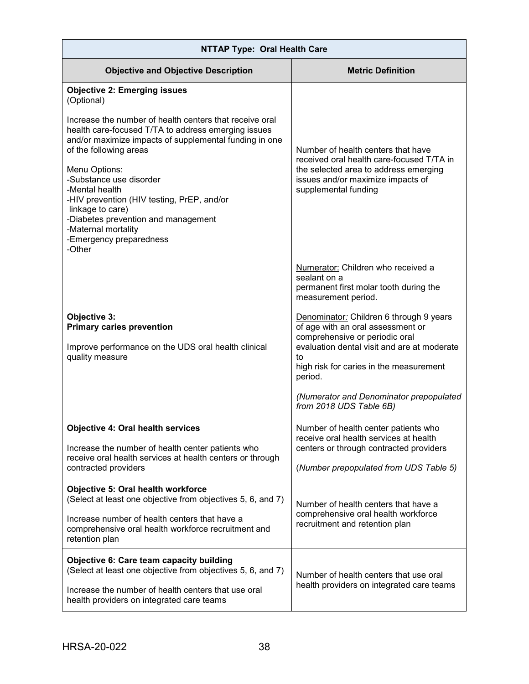| <b>NTTAP Type: Oral Health Care</b>                                                                                                                                                                                                                                                                                                                                                                                                                                                        |                                                                                                                                                                                                                                                                                                                                                                                                                        |  |
|--------------------------------------------------------------------------------------------------------------------------------------------------------------------------------------------------------------------------------------------------------------------------------------------------------------------------------------------------------------------------------------------------------------------------------------------------------------------------------------------|------------------------------------------------------------------------------------------------------------------------------------------------------------------------------------------------------------------------------------------------------------------------------------------------------------------------------------------------------------------------------------------------------------------------|--|
| <b>Objective and Objective Description</b>                                                                                                                                                                                                                                                                                                                                                                                                                                                 | <b>Metric Definition</b>                                                                                                                                                                                                                                                                                                                                                                                               |  |
| <b>Objective 2: Emerging issues</b><br>(Optional)<br>Increase the number of health centers that receive oral<br>health care-focused T/TA to address emerging issues<br>and/or maximize impacts of supplemental funding in one<br>of the following areas<br>Menu Options:<br>-Substance use disorder<br>-Mental health<br>-HIV prevention (HIV testing, PrEP, and/or<br>linkage to care)<br>-Diabetes prevention and management<br>-Maternal mortality<br>-Emergency preparedness<br>-Other | Number of health centers that have<br>received oral health care-focused T/TA in<br>the selected area to address emerging<br>issues and/or maximize impacts of<br>supplemental funding                                                                                                                                                                                                                                  |  |
| Objective 3:<br><b>Primary caries prevention</b><br>Improve performance on the UDS oral health clinical<br>quality measure                                                                                                                                                                                                                                                                                                                                                                 | Numerator: Children who received a<br>sealant on a<br>permanent first molar tooth during the<br>measurement period.<br>Denominator: Children 6 through 9 years<br>of age with an oral assessment or<br>comprehensive or periodic oral<br>evaluation dental visit and are at moderate<br>to<br>high risk for caries in the measurement<br>period.<br>(Numerator and Denominator prepopulated<br>from 2018 UDS Table 6B) |  |
| <b>Objective 4: Oral health services</b><br>Increase the number of health center patients who<br>receive oral health services at health centers or through<br>contracted providers<br>Objective 5: Oral health workforce<br>(Select at least one objective from objectives 5, 6, and 7)                                                                                                                                                                                                    | Number of health center patients who<br>receive oral health services at health<br>centers or through contracted providers<br>(Number prepopulated from UDS Table 5)<br>Number of health centers that have a                                                                                                                                                                                                            |  |
| Increase number of health centers that have a<br>comprehensive oral health workforce recruitment and<br>retention plan                                                                                                                                                                                                                                                                                                                                                                     | comprehensive oral health workforce<br>recruitment and retention plan                                                                                                                                                                                                                                                                                                                                                  |  |
| <b>Objective 6: Care team capacity building</b><br>(Select at least one objective from objectives 5, 6, and 7)<br>Increase the number of health centers that use oral<br>health providers on integrated care teams                                                                                                                                                                                                                                                                         | Number of health centers that use oral<br>health providers on integrated care teams                                                                                                                                                                                                                                                                                                                                    |  |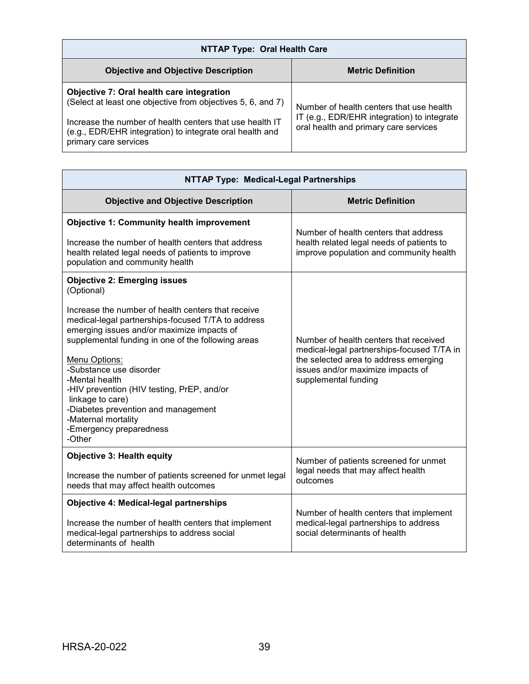| <b>NTTAP Type: Oral Health Care</b>                                                                                                                                  |                                                                                                                                  |  |
|----------------------------------------------------------------------------------------------------------------------------------------------------------------------|----------------------------------------------------------------------------------------------------------------------------------|--|
| <b>Objective and Objective Description</b>                                                                                                                           | <b>Metric Definition</b>                                                                                                         |  |
| Objective 7: Oral health care integration<br>(Select at least one objective from objectives 5, 6, and 7)<br>Increase the number of health centers that use health IT | Number of health centers that use health<br>IT (e.g., EDR/EHR integration) to integrate<br>oral health and primary care services |  |
| (e.g., EDR/EHR integration) to integrate oral health and<br>primary care services                                                                                    |                                                                                                                                  |  |

| <b>NTTAP Type: Medical-Legal Partnerships</b>                                                                                                                                                                                                                                                                                                                                                                                                                                                        |                                                                                                                                                                                            |  |
|------------------------------------------------------------------------------------------------------------------------------------------------------------------------------------------------------------------------------------------------------------------------------------------------------------------------------------------------------------------------------------------------------------------------------------------------------------------------------------------------------|--------------------------------------------------------------------------------------------------------------------------------------------------------------------------------------------|--|
| <b>Objective and Objective Description</b>                                                                                                                                                                                                                                                                                                                                                                                                                                                           | <b>Metric Definition</b>                                                                                                                                                                   |  |
| <b>Objective 1: Community health improvement</b><br>Increase the number of health centers that address<br>health related legal needs of patients to improve<br>population and community health                                                                                                                                                                                                                                                                                                       | Number of health centers that address<br>health related legal needs of patients to<br>improve population and community health                                                              |  |
| <b>Objective 2: Emerging issues</b><br>(Optional)<br>Increase the number of health centers that receive<br>medical-legal partnerships-focused T/TA to address<br>emerging issues and/or maximize impacts of<br>supplemental funding in one of the following areas<br>Menu Options:<br>-Substance use disorder<br>-Mental health<br>-HIV prevention (HIV testing, PrEP, and/or<br>linkage to care)<br>-Diabetes prevention and management<br>-Maternal mortality<br>-Emergency preparedness<br>-Other | Number of health centers that received<br>medical-legal partnerships-focused T/TA in<br>the selected area to address emerging<br>issues and/or maximize impacts of<br>supplemental funding |  |
| <b>Objective 3: Health equity</b><br>Increase the number of patients screened for unmet legal<br>needs that may affect health outcomes                                                                                                                                                                                                                                                                                                                                                               | Number of patients screened for unmet<br>legal needs that may affect health<br>outcomes                                                                                                    |  |
| <b>Objective 4: Medical-legal partnerships</b><br>Increase the number of health centers that implement<br>medical-legal partnerships to address social<br>determinants of health                                                                                                                                                                                                                                                                                                                     | Number of health centers that implement<br>medical-legal partnerships to address<br>social determinants of health                                                                          |  |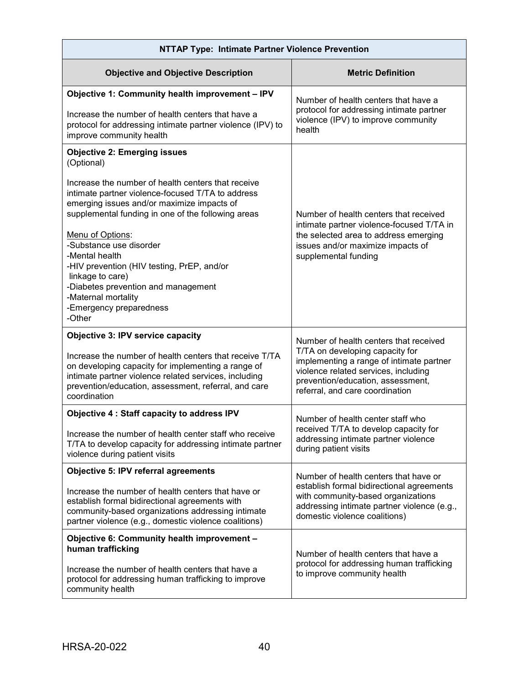| <b>NTTAP Type: Intimate Partner Violence Prevention</b>                                                                                                                                                                                                                                                                                                                                                                                                                                                |                                                                                                                                                                                                                                       |  |
|--------------------------------------------------------------------------------------------------------------------------------------------------------------------------------------------------------------------------------------------------------------------------------------------------------------------------------------------------------------------------------------------------------------------------------------------------------------------------------------------------------|---------------------------------------------------------------------------------------------------------------------------------------------------------------------------------------------------------------------------------------|--|
| <b>Objective and Objective Description</b>                                                                                                                                                                                                                                                                                                                                                                                                                                                             | <b>Metric Definition</b>                                                                                                                                                                                                              |  |
| Objective 1: Community health improvement - IPV<br>Increase the number of health centers that have a<br>protocol for addressing intimate partner violence (IPV) to<br>improve community health                                                                                                                                                                                                                                                                                                         | Number of health centers that have a<br>protocol for addressing intimate partner<br>violence (IPV) to improve community<br>health                                                                                                     |  |
| <b>Objective 2: Emerging issues</b><br>(Optional)<br>Increase the number of health centers that receive<br>intimate partner violence-focused T/TA to address<br>emerging issues and/or maximize impacts of<br>supplemental funding in one of the following areas<br>Menu of Options:<br>-Substance use disorder<br>-Mental health<br>-HIV prevention (HIV testing, PrEP, and/or<br>linkage to care)<br>-Diabetes prevention and management<br>-Maternal mortality<br>-Emergency preparedness<br>-Other | Number of health centers that received<br>intimate partner violence-focused T/TA in<br>the selected area to address emerging<br>issues and/or maximize impacts of<br>supplemental funding                                             |  |
| <b>Objective 3: IPV service capacity</b><br>Increase the number of health centers that receive T/TA<br>on developing capacity for implementing a range of<br>intimate partner violence related services, including<br>prevention/education, assessment, referral, and care<br>coordination                                                                                                                                                                                                             | Number of health centers that received<br>T/TA on developing capacity for<br>implementing a range of intimate partner<br>violence related services, including<br>prevention/education, assessment,<br>referral, and care coordination |  |
| <b>Objective 4: Staff capacity to address IPV</b><br>Increase the number of health center staff who receive<br>T/TA to develop capacity for addressing intimate partner<br>violence during patient visits                                                                                                                                                                                                                                                                                              | Number of health center staff who<br>received T/TA to develop capacity for<br>addressing intimate partner violence<br>during patient visits                                                                                           |  |
| Objective 5: IPV referral agreements                                                                                                                                                                                                                                                                                                                                                                                                                                                                   | Number of health centers that have or                                                                                                                                                                                                 |  |
| Increase the number of health centers that have or<br>establish formal bidirectional agreements with<br>community-based organizations addressing intimate<br>partner violence (e.g., domestic violence coalitions)                                                                                                                                                                                                                                                                                     | establish formal bidirectional agreements<br>with community-based organizations<br>addressing intimate partner violence (e.g.,<br>domestic violence coalitions)                                                                       |  |
| Objective 6: Community health improvement -<br>human trafficking<br>Increase the number of health centers that have a<br>protocol for addressing human trafficking to improve<br>community health                                                                                                                                                                                                                                                                                                      | Number of health centers that have a<br>protocol for addressing human trafficking<br>to improve community health                                                                                                                      |  |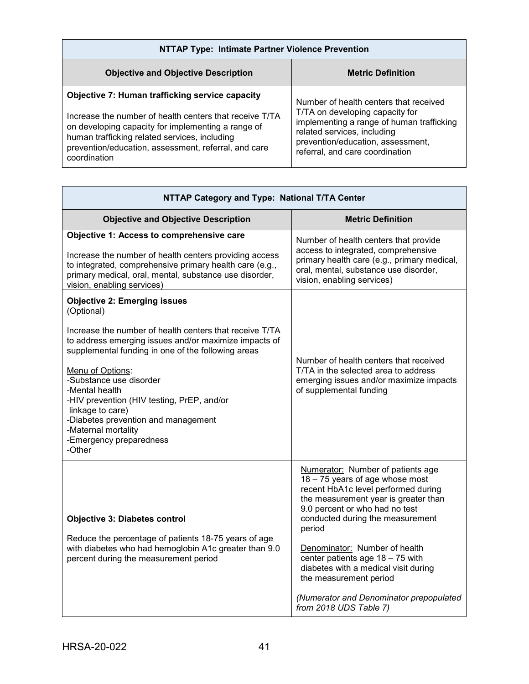| NTTAP Type: Intimate Partner Violence Prevention                                                                                                                                                                                                                                                 |                                                                                                                                                                                                                               |
|--------------------------------------------------------------------------------------------------------------------------------------------------------------------------------------------------------------------------------------------------------------------------------------------------|-------------------------------------------------------------------------------------------------------------------------------------------------------------------------------------------------------------------------------|
| <b>Objective and Objective Description</b>                                                                                                                                                                                                                                                       | <b>Metric Definition</b>                                                                                                                                                                                                      |
| <b>Objective 7: Human trafficking service capacity</b><br>Increase the number of health centers that receive T/TA<br>on developing capacity for implementing a range of<br>human trafficking related services, including<br>prevention/education, assessment, referral, and care<br>coordination | Number of health centers that received<br>T/TA on developing capacity for<br>implementing a range of human trafficking<br>related services, including<br>prevention/education, assessment,<br>referral, and care coordination |

| NTTAP Category and Type: National T/TA Center                                                                                                                                                                                                                                                                                                                                                                                                                     |                                                                                                                                                                                                                                                                                                                                                                                                                                                 |  |
|-------------------------------------------------------------------------------------------------------------------------------------------------------------------------------------------------------------------------------------------------------------------------------------------------------------------------------------------------------------------------------------------------------------------------------------------------------------------|-------------------------------------------------------------------------------------------------------------------------------------------------------------------------------------------------------------------------------------------------------------------------------------------------------------------------------------------------------------------------------------------------------------------------------------------------|--|
| <b>Objective and Objective Description</b>                                                                                                                                                                                                                                                                                                                                                                                                                        | <b>Metric Definition</b>                                                                                                                                                                                                                                                                                                                                                                                                                        |  |
| Objective 1: Access to comprehensive care<br>Increase the number of health centers providing access<br>to integrated, comprehensive primary health care (e.g.,<br>primary medical, oral, mental, substance use disorder,<br>vision, enabling services)                                                                                                                                                                                                            | Number of health centers that provide<br>access to integrated, comprehensive<br>primary health care (e.g., primary medical,<br>oral, mental, substance use disorder,<br>vision, enabling services)                                                                                                                                                                                                                                              |  |
| <b>Objective 2: Emerging issues</b><br>(Optional)<br>Increase the number of health centers that receive T/TA<br>to address emerging issues and/or maximize impacts of<br>supplemental funding in one of the following areas<br>Menu of Options:<br>-Substance use disorder<br>-Mental health<br>-HIV prevention (HIV testing, PrEP, and/or<br>linkage to care)<br>-Diabetes prevention and management<br>-Maternal mortality<br>-Emergency preparedness<br>-Other | Number of health centers that received<br>T/TA in the selected area to address<br>emerging issues and/or maximize impacts<br>of supplemental funding                                                                                                                                                                                                                                                                                            |  |
| <b>Objective 3: Diabetes control</b><br>Reduce the percentage of patients 18-75 years of age<br>with diabetes who had hemoglobin A1c greater than 9.0<br>percent during the measurement period                                                                                                                                                                                                                                                                    | Numerator: Number of patients age<br>18 - 75 years of age whose most<br>recent HbA1c level performed during<br>the measurement year is greater than<br>9.0 percent or who had no test<br>conducted during the measurement<br>period<br>Denominator: Number of health<br>center patients age 18 - 75 with<br>diabetes with a medical visit during<br>the measurement period<br>(Numerator and Denominator prepopulated<br>from 2018 UDS Table 7) |  |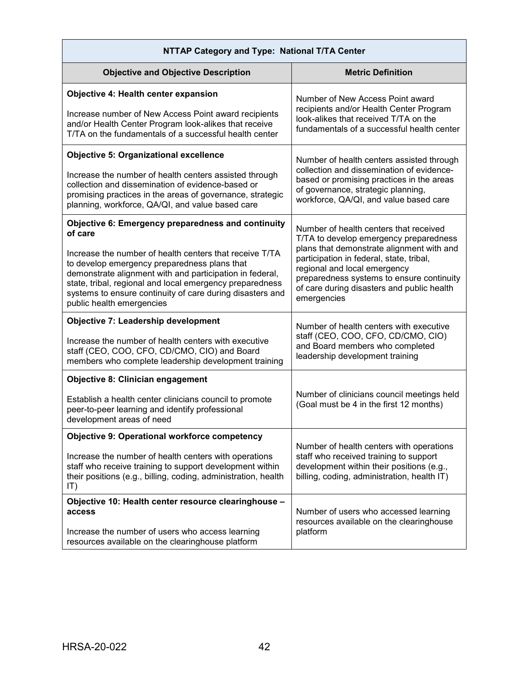| NTTAP Category and Type: National T/TA Center                                                                                                                                                                                                                                                                                                                                              |                                                                                                                                                                                                                                                                                                                     |  |
|--------------------------------------------------------------------------------------------------------------------------------------------------------------------------------------------------------------------------------------------------------------------------------------------------------------------------------------------------------------------------------------------|---------------------------------------------------------------------------------------------------------------------------------------------------------------------------------------------------------------------------------------------------------------------------------------------------------------------|--|
| <b>Objective and Objective Description</b>                                                                                                                                                                                                                                                                                                                                                 | <b>Metric Definition</b>                                                                                                                                                                                                                                                                                            |  |
| <b>Objective 4: Health center expansion</b><br>Increase number of New Access Point award recipients<br>and/or Health Center Program look-alikes that receive<br>T/TA on the fundamentals of a successful health center                                                                                                                                                                     | Number of New Access Point award<br>recipients and/or Health Center Program<br>look-alikes that received T/TA on the<br>fundamentals of a successful health center                                                                                                                                                  |  |
| <b>Objective 5: Organizational excellence</b><br>Increase the number of health centers assisted through<br>collection and dissemination of evidence-based or<br>promising practices in the areas of governance, strategic<br>planning, workforce, QA/QI, and value based care                                                                                                              | Number of health centers assisted through<br>collection and dissemination of evidence-<br>based or promising practices in the areas<br>of governance, strategic planning,<br>workforce, QA/QI, and value based care                                                                                                 |  |
| Objective 6: Emergency preparedness and continuity<br>of care<br>Increase the number of health centers that receive T/TA<br>to develop emergency preparedness plans that<br>demonstrate alignment with and participation in federal,<br>state, tribal, regional and local emergency preparedness<br>systems to ensure continuity of care during disasters and<br>public health emergencies | Number of health centers that received<br>T/TA to develop emergency preparedness<br>plans that demonstrate alignment with and<br>participation in federal, state, tribal,<br>regional and local emergency<br>preparedness systems to ensure continuity<br>of care during disasters and public health<br>emergencies |  |
| <b>Objective 7: Leadership development</b><br>Increase the number of health centers with executive<br>staff (CEO, COO, CFO, CD/CMO, CIO) and Board<br>members who complete leadership development training                                                                                                                                                                                 | Number of health centers with executive<br>staff (CEO, COO, CFO, CD/CMO, CIO)<br>and Board members who completed<br>leadership development training                                                                                                                                                                 |  |
| <b>Objective 8: Clinician engagement</b><br>Establish a health center clinicians council to promote<br>peer-to-peer learning and identify professional<br>development areas of need                                                                                                                                                                                                        | Number of clinicians council meetings held<br>(Goal must be 4 in the first 12 months)                                                                                                                                                                                                                               |  |
| <b>Objective 9: Operational workforce competency</b><br>Increase the number of health centers with operations<br>staff who receive training to support development within<br>their positions (e.g., billing, coding, administration, health<br> T)                                                                                                                                         | Number of health centers with operations<br>staff who received training to support<br>development within their positions (e.g.,<br>billing, coding, administration, health IT)                                                                                                                                      |  |
| Objective 10: Health center resource clearinghouse -<br>access<br>Increase the number of users who access learning<br>resources available on the clearinghouse platform                                                                                                                                                                                                                    | Number of users who accessed learning<br>resources available on the clearinghouse<br>platform                                                                                                                                                                                                                       |  |

ī

Ē